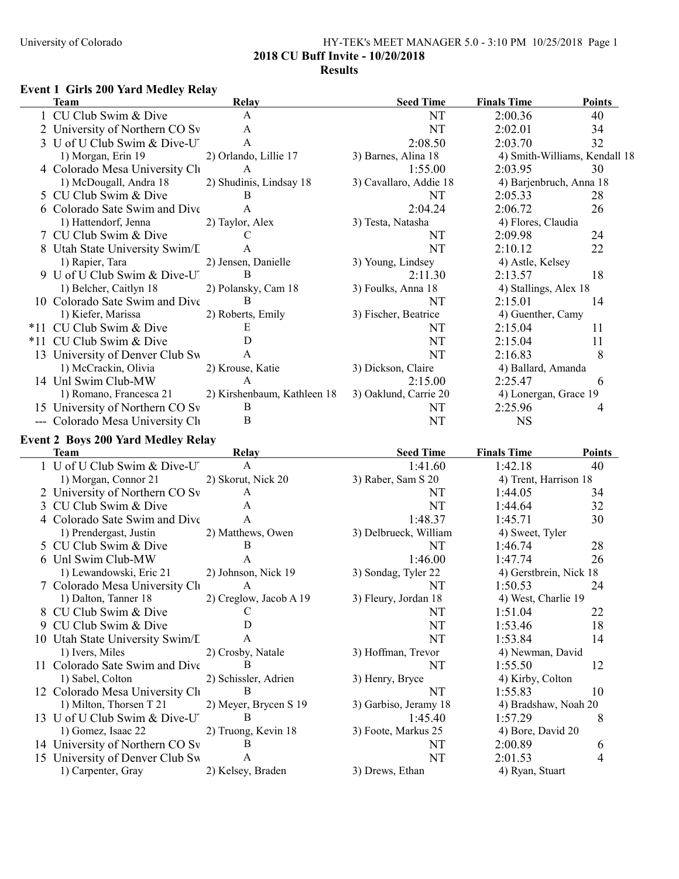## University of Colorado HY-TEK's MEET MANAGER 5.0 - 3:10 PM 10/25/2018 Page 1 2018 CU Buff Invite - 10/20/2018 Results

#### Event 1 Girls 200 Yard Medley Relay

| <b>Team</b>                                           | Relay                             | <b>Seed Time</b>       | <b>Finals Time</b>            | <b>Points</b> |
|-------------------------------------------------------|-----------------------------------|------------------------|-------------------------------|---------------|
| CU Club Swim & Dive                                   | $\mathbf{A}$                      | NT                     | 2:00.36                       | 40            |
| University of Northern CO Sv                          | A                                 | <b>NT</b>              | 2:02.01                       | 34            |
| 3 U of U Club Swim & Dive-U'                          | A                                 | 2:08.50                | 2:03.70                       | 32            |
| 1) Morgan, Erin 19                                    | 2) Orlando, Lillie 17             | 3) Barnes, Alina 18    | 4) Smith-Williams, Kendall 18 |               |
| 4 Colorado Mesa University Ch                         | $\mathbf{A}$                      | 1:55.00                | 2:03.95                       | 30            |
| 1) McDougall, Andra 18                                | 2) Shudinis, Lindsay 18           | 3) Cavallaro, Addie 18 | 4) Barjenbruch, Anna 18       |               |
| 5 CU Club Swim & Dive                                 | B                                 | NT                     | 2:05.33                       | 28            |
| 6 Colorado Sate Swim and Dive                         | $\mathbf{A}$                      | 2:04.24                | 2:06.72                       | 26            |
| 1) Hattendorf, Jenna                                  | 2) Taylor, Alex                   | 3) Testa, Natasha      | 4) Flores, Claudia            |               |
| 7 CU Club Swim & Dive                                 | $\mathcal{C}$                     | NT                     | 2:09.98                       | 24            |
| 8 Utah State University Swim/L                        | $\mathbf{A}$                      | NT                     | 2:10.12                       | 22            |
|                                                       | 2) Jensen, Danielle               |                        |                               |               |
| 1) Rapier, Tara                                       | B                                 | 3) Young, Lindsey      | 4) Astle, Kelsey              |               |
| 9 U of U Club Swim & Dive-U.                          |                                   | 2:11.30                | 2:13.57                       | 18            |
| 1) Belcher, Caitlyn 18                                | 2) Polansky, Cam 18               | 3) Foulks, Anna 18     | 4) Stallings, Alex 18         |               |
| 10 Colorado Sate Swim and Dive                        | B                                 | NT                     | 2:15.01                       | 14            |
| 1) Kiefer, Marissa                                    | 2) Roberts, Emily                 | 3) Fischer, Beatrice   | 4) Guenther, Camy             |               |
| *11 CU Club Swim & Dive                               | E                                 | NT                     | 2:15.04                       | 11            |
| *11 CU Club Swim & Dive                               | $\mathbf D$                       | NT                     | 2:15.04                       | 11            |
| 13 University of Denver Club Sw                       | $\mathbf{A}$                      | <b>NT</b>              | 2:16.83                       | 8             |
| 1) McCrackin, Olivia                                  | 2) Krouse, Katie                  | 3) Dickson, Claire     | 4) Ballard, Amanda            |               |
| 14 Unl Swim Club-MW                                   | $\mathbf{A}$                      | 2:15.00                | 2:25.47                       | 6             |
| 1) Romano, Francesca 21                               | 2) Kirshenbaum, Kathleen 18       | 3) Oaklund, Carrie 20  | 4) Lonergan, Grace 19         |               |
| 15 University of Northern CO Sv                       | $\bf{B}$                          | NT                     | 2:25.96                       | 4             |
| --- Colorado Mesa University Clu                      | $\bf{B}$                          | NT                     | <b>NS</b>                     |               |
|                                                       |                                   |                        |                               |               |
| <b>Event 2 Boys 200 Yard Medley Relay</b>             |                                   |                        |                               |               |
| <b>Team</b>                                           | Relay                             | <b>Seed Time</b>       | <b>Finals Time</b>            | Points        |
| 1 U of U Club Swim & Dive-U                           | $\mathbf{A}$                      | 1:41.60                | 1:42.18                       | 40            |
| 1) Morgan, Connor 21                                  | 2) Skorut, Nick 20                | 3) Raber, Sam S 20     | 4) Trent, Harrison 18         |               |
| 2 University of Northern CO Sv                        | A                                 | NT                     | 1:44.05                       | 34            |
| 3 CU Club Swim & Dive                                 | A                                 | NT                     | 1:44.64                       | 32            |
| 4 Colorado Sate Swim and Dive                         | $\mathbf{A}$                      | 1:48.37                | 1:45.71                       | 30            |
| 1) Prendergast, Justin                                | 2) Matthews, Owen                 | 3) Delbrueck, William  | 4) Sweet, Tyler               |               |
| 5 CU Club Swim & Dive                                 | $\bf{B}$                          | NT                     | 1:46.74                       | 28            |
|                                                       |                                   |                        |                               |               |
|                                                       | $\mathbf{A}$                      |                        | 1:47.74                       |               |
| 6 Unl Swim Club-MW                                    |                                   | 1:46.00                |                               | 26            |
| 1) Lewandowski, Eric 21                               | 2) Johnson, Nick 19               | 3) Sondag, Tyler 22    | 4) Gerstbrein, Nick 18        |               |
| 7 Colorado Mesa University Clu                        | A                                 | <b>NT</b>              | 1:50.53                       | 24            |
| 1) Dalton, Tanner 18                                  | 2) Creglow, Jacob A 19            | 3) Fleury, Jordan 18   | 4) West, Charlie 19           |               |
| 8 CU Club Swim & Dive                                 | С                                 | NT                     | 1:51.04                       | 22            |
| 9 CU Club Swim & Dive                                 | D                                 | NT                     | 1:53.46                       | 18            |
| 10 Utah State University Swim/L                       | A                                 | NT                     | 1:53.84                       | 14            |
| 1) Ivers, Miles                                       | 2) Crosby, Natale                 | 3) Hoffman, Trevor     | 4) Newman, David              |               |
| 11 Colorado Sate Swim and Dive                        | В                                 | NT                     | 1:55.50                       | 12            |
| 1) Sabel, Colton                                      | 2) Schissler, Adrien              | 3) Henry, Bryce        | 4) Kirby, Colton              |               |
| 12 Colorado Mesa University Clu                       | В                                 | NT                     | 1:55.83                       | 10            |
| 1) Milton, Thorsen T 21                               | 2) Meyer, Brycen S 19             | 3) Garbiso, Jeramy 18  | 4) Bradshaw, Noah 20          |               |
|                                                       | В                                 |                        | 1:57.29                       |               |
| 13 U of U Club Swim & Dive-U                          |                                   | 1:45.40                |                               | 8             |
| 1) Gomez, Isaac 22                                    | 2) Truong, Kevin 18               | 3) Foote, Markus 25    | 4) Bore, David 20             |               |
| 14 University of Northern CO Sv                       | B                                 | NT                     | 2:00.89                       | 6             |
| 15 University of Denver Club Sw<br>1) Carpenter, Gray | $\mathbf{A}$<br>2) Kelsey, Braden | NT<br>3) Drews, Ethan  | 2:01.53<br>4) Ryan, Stuart    | 4             |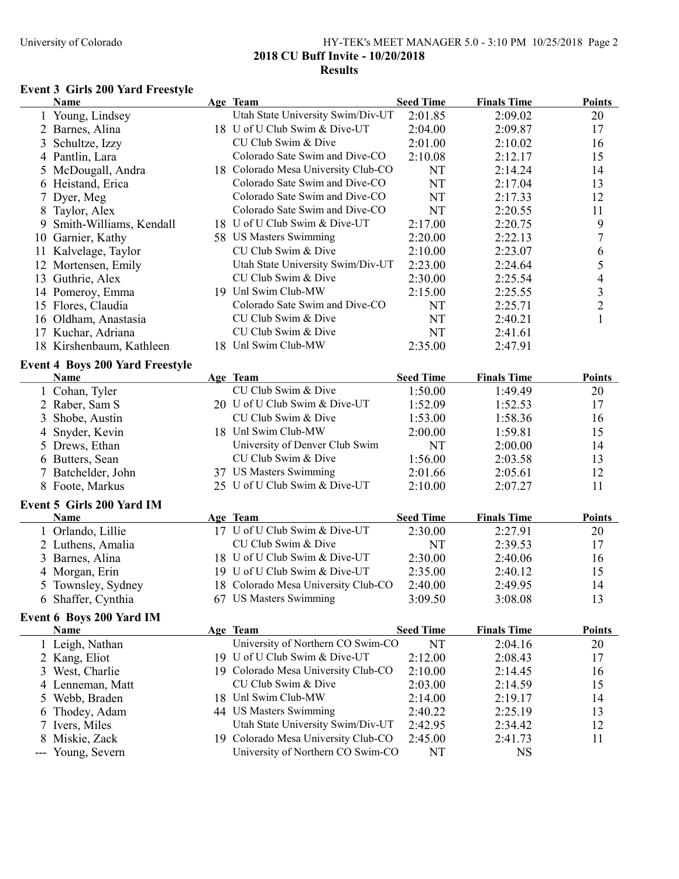## University of Colorado HY-TEK's MEET MANAGER 5.0 - 3:10 PM 10/25/2018 Page 2 2018 CU Buff Invite - 10/20/2018 Results

# Event 3 Girls 200 Yard Freestyle

|    | <b>Name</b>                            | Age Team                                  | <b>Seed Time</b>            | <b>Finals Time</b>            | <b>Points</b>            |
|----|----------------------------------------|-------------------------------------------|-----------------------------|-------------------------------|--------------------------|
|    | 1 Young, Lindsey                       | Utah State University Swim/Div-UT         | 2:01.85                     | 2:09.02                       | 20                       |
|    | Barnes, Alina                          | 18 U of U Club Swim & Dive-UT             | 2:04.00                     | 2:09.87                       | 17                       |
| 3  | Schultze, Izzy                         | CU Club Swim & Dive                       | 2:01.00                     | 2:10.02                       | 16                       |
|    | 4 Pantlin, Lara                        | Colorado Sate Swim and Dive-CO            | 2:10.08                     | 2:12.17                       | 15                       |
| 5  | McDougall, Andra                       | 18 Colorado Mesa University Club-CO       | NT                          | 2:14.24                       | 14                       |
|    | 6 Heistand, Erica                      | Colorado Sate Swim and Dive-CO            | <b>NT</b>                   | 2:17.04                       | 13                       |
|    | Dyer, Meg                              | Colorado Sate Swim and Dive-CO            | <b>NT</b>                   | 2:17.33                       | 12                       |
| 8  | Taylor, Alex                           | Colorado Sate Swim and Dive-CO            | NT                          | 2:20.55                       | 11                       |
| 9  | Smith-Williams, Kendall                | 18 U of U Club Swim & Dive-UT             | 2:17.00                     | 2:20.75                       | 9                        |
|    | 10 Garnier, Kathy                      | 58 US Masters Swimming                    | 2:20.00                     | 2:22.13                       | 7                        |
| 11 | Kalvelage, Taylor                      | CU Club Swim & Dive                       | 2:10.00                     | 2:23.07                       | 6                        |
|    | 12 Mortensen, Emily                    | Utah State University Swim/Div-UT         | 2:23.00                     | 2:24.64                       | 5                        |
|    | 13 Guthrie, Alex                       | CU Club Swim & Dive                       | 2:30.00                     | 2:25.54                       | $\overline{\mathcal{A}}$ |
|    | 14 Pomeroy, Emma                       | 19 Unl Swim Club-MW                       | 2:15.00                     | 2:25.55                       | $\mathfrak{Z}$           |
|    | 15 Flores, Claudia                     | Colorado Sate Swim and Dive-CO            | NT                          | 2:25.71                       | $\sqrt{2}$               |
|    | 16 Oldham, Anastasia                   | CU Club Swim & Dive                       | NT                          | 2:40.21                       | $\mathbf{1}$             |
|    | 17 Kuchar, Adriana                     | CU Club Swim & Dive                       | NT                          | 2:41.61                       |                          |
|    | 18 Kirshenbaum, Kathleen               | 18 Unl Swim Club-MW                       | 2:35.00                     | 2:47.91                       |                          |
|    | <b>Event 4 Boys 200 Yard Freestyle</b> |                                           |                             |                               |                          |
|    | Name                                   | Age Team                                  | <b>Seed Time</b>            | <b>Finals Time</b>            | <b>Points</b>            |
|    | Cohan, Tyler                           | CU Club Swim & Dive                       | 1:50.00                     | 1:49.49                       | 20                       |
|    | 2 Raber, Sam S                         | 20 U of U Club Swim & Dive-UT             | 1:52.09                     | 1:52.53                       | 17                       |
| 3  | Shobe, Austin                          | CU Club Swim & Dive                       | 1:53.00                     | 1:58.36                       | 16                       |
| 4  | Snyder, Kevin                          | 18 Unl Swim Club-MW                       | 2:00.00                     | 1:59.81                       | 15                       |
|    | 5 Drews, Ethan                         | University of Denver Club Swim            | NT                          | 2:00.00                       | 14                       |
|    | 6 Butters, Sean                        | CU Club Swim & Dive                       | 1:56.00                     | 2:03.58                       | 13                       |
|    | Batchelder, John                       | 37 US Masters Swimming                    | 2:01.66                     | 2:05.61                       | 12                       |
|    | 8 Foote, Markus                        | 25 U of U Club Swim & Dive-UT             | 2:10.00                     | 2:07.27                       | 11                       |
|    |                                        |                                           |                             |                               |                          |
|    | Event 5 Girls 200 Yard IM              |                                           |                             |                               |                          |
|    | <b>Name</b>                            | Age Team<br>17 U of U Club Swim & Dive-UT | <b>Seed Time</b><br>2:30.00 | <b>Finals Time</b><br>2:27.91 | <b>Points</b><br>20      |
|    | 1 Orlando, Lillie                      | CU Club Swim & Dive                       | NT                          | 2:39.53                       | 17                       |
|    | 2 Luthens, Amalia                      | 18 U of U Club Swim & Dive-UT             |                             |                               |                          |
| 3  | Barnes, Alina                          | 19 U of U Club Swim & Dive-UT             | 2:30.00                     | 2:40.06                       | 16                       |
|    | 4 Morgan, Erin                         | 18 Colorado Mesa University Club-CO       | 2:35.00                     | 2:40.12                       | 15                       |
|    | 5 Townsley, Sydney                     | 67 US Masters Swimming                    | 2:40.00                     | 2:49.95                       | 14                       |
|    | 6 Shaffer, Cynthia                     |                                           | 3:09.50                     | 3:08.08                       | 13                       |
|    | <b>Event 6 Boys 200 Yard IM</b>        |                                           |                             |                               |                          |
|    | Name                                   | Age Team                                  | <b>Seed Time</b>            | <b>Finals Time</b>            | Points                   |
|    | 1 Leigh, Nathan                        | University of Northern CO Swim-CO         | NT                          | 2:04.16                       | 20                       |
|    | 2 Kang, Eliot                          | 19 U of U Club Swim & Dive-UT             | 2:12.00                     | 2:08.43                       | 17                       |
| 3  | West, Charlie                          | 19 Colorado Mesa University Club-CO       | 2:10.00                     | 2:14.45                       | 16                       |
|    | 4 Lenneman, Matt                       | CU Club Swim & Dive                       | 2:03.00                     | 2:14.59                       | 15                       |
|    | 5 Webb, Braden                         | 18 Unl Swim Club-MW                       | 2:14.00                     | 2:19.17                       | 14                       |
| 6  | Thodey, Adam                           | 44 US Masters Swimming                    | 2:40.22                     | 2:25.19                       | 13                       |
|    | Ivers, Miles                           | Utah State University Swim/Div-UT         | 2:42.95                     | 2:34.42                       | 12                       |
| 8  | Miskie, Zack                           | 19 Colorado Mesa University Club-CO       | 2:45.00                     | 2:41.73                       | 11                       |
|    | --- Young, Severn                      | University of Northern CO Swim-CO         | NT                          | <b>NS</b>                     |                          |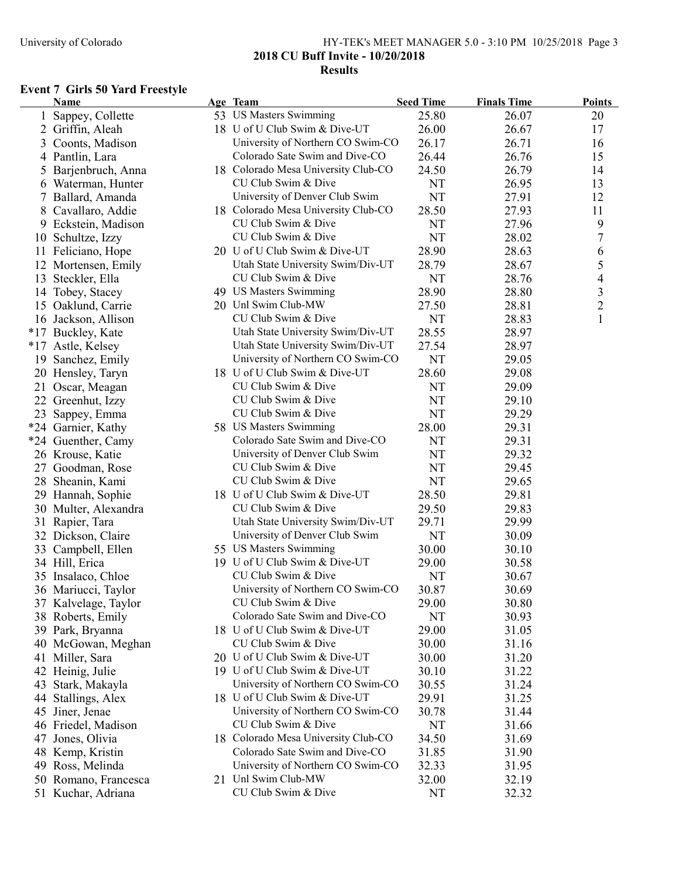## University of Colorado HY-TEK's MEET MANAGER 5.0 - 3:10 PM 10/25/2018 Page 3 2018 CU Buff Invite - 10/20/2018 Results

# Event 7 Girls 50 Yard Freestyle

|    | Name                 | Age Team                            | <b>Seed Time</b> | <b>Finals Time</b> | <b>Points</b>  |
|----|----------------------|-------------------------------------|------------------|--------------------|----------------|
|    | Sappey, Collette     | 53 US Masters Swimming              | 25.80            | 26.07              | 20             |
| 2  | Griffin, Aleah       | 18 U of U Club Swim & Dive-UT       | 26.00            | 26.67              | 17             |
| 3  | Coonts, Madison      | University of Northern CO Swim-CO   | 26.17            | 26.71              | 16             |
| 4  | Pantlin, Lara        | Colorado Sate Swim and Dive-CO      | 26.44            | 26.76              | 15             |
| 5  | Barjenbruch, Anna    | 18 Colorado Mesa University Club-CO | 24.50            | 26.79              | 14             |
|    | 6 Waterman, Hunter   | CU Club Swim & Dive                 | NT               | 26.95              | 13             |
|    | 7 Ballard, Amanda    | University of Denver Club Swim      | <b>NT</b>        | 27.91              | 12             |
|    | 8 Cavallaro, Addie   | 18 Colorado Mesa University Club-CO | 28.50            | 27.93              | 11             |
|    | 9 Eckstein, Madison  | CU Club Swim & Dive                 | NT               | 27.96              | 9              |
|    | 10 Schultze, Izzy    | CU Club Swim & Dive                 | <b>NT</b>        | 28.02              | 7              |
|    | 11 Feliciano, Hope   | 20 U of U Club Swim & Dive-UT       | 28.90            | 28.63              | 6              |
|    | 12 Mortensen, Emily  | Utah State University Swim/Div-UT   | 28.79            | 28.67              | 5              |
| 13 | Steckler, Ella       | CU Club Swim & Dive                 | NT               | 28.76              | 4              |
|    | 14 Tobey, Stacey     | 49 US Masters Swimming              | 28.90            | 28.80              | $\mathfrak{Z}$ |
|    | 15 Oaklund, Carrie   | 20 Unl Swim Club-MW                 | 27.50            | 28.81              | $\overline{c}$ |
|    | 16 Jackson, Allison  | CU Club Swim & Dive                 | NT               | 28.83              | $\mathbf{1}$   |
|    | *17 Buckley, Kate    | Utah State University Swim/Div-UT   | 28.55            | 28.97              |                |
|    | *17 Astle, Kelsey    | Utah State University Swim/Div-UT   | 27.54            | 28.97              |                |
|    | 19 Sanchez, Emily    | University of Northern CO Swim-CO   | <b>NT</b>        | 29.05              |                |
|    | 20 Hensley, Taryn    | 18 U of U Club Swim & Dive-UT       | 28.60            | 29.08              |                |
|    | 21 Oscar, Meagan     | CU Club Swim & Dive                 | NT               | 29.09              |                |
|    | 22 Greenhut, Izzy    | CU Club Swim & Dive                 | NT               | 29.10              |                |
|    | 23 Sappey, Emma      | CU Club Swim & Dive                 | NT               | 29.29              |                |
|    | *24 Garnier, Kathy   | 58 US Masters Swimming              | 28.00            | 29.31              |                |
|    | *24 Guenther, Camy   | Colorado Sate Swim and Dive-CO      | NT               | 29.31              |                |
|    | 26 Krouse, Katie     | University of Denver Club Swim      | NT               | 29.32              |                |
|    | 27 Goodman, Rose     | CU Club Swim & Dive                 | <b>NT</b>        | 29.45              |                |
|    | 28 Sheanin, Kami     | CU Club Swim & Dive                 | NT               | 29.65              |                |
|    | 29 Hannah, Sophie    | 18 U of U Club Swim & Dive-UT       | 28.50            | 29.81              |                |
|    | 30 Multer, Alexandra | CU Club Swim & Dive                 | 29.50            | 29.83              |                |
|    | 31 Rapier, Tara      | Utah State University Swim/Div-UT   | 29.71            | 29.99              |                |
|    | 32 Dickson, Claire   | University of Denver Club Swim      | <b>NT</b>        | 30.09              |                |
|    | 33 Campbell, Ellen   | 55 US Masters Swimming              | 30.00            | 30.10              |                |
|    | 34 Hill, Erica       | 19 U of U Club Swim & Dive-UT       | 29.00            | 30.58              |                |
|    | 35 Insalaco, Chloe   | CU Club Swim & Dive                 | NT               | 30.67              |                |
|    | 36 Mariucci, Taylor  | University of Northern CO Swim-CO   | 30.87            | 30.69              |                |
|    | 37 Kalvelage, Taylor | CU Club Swim & Dive                 | 29.00            | 30.80              |                |
|    | 38 Roberts, Emily    | Colorado Sate Swim and Dive-CO      | NT               | 30.93              |                |
|    | 39 Park, Bryanna     | 18 U of U Club Swim & Dive-UT       | 29.00            | 31.05              |                |
|    | 40 McGowan, Meghan   | CU Club Swim & Dive                 | 30.00            | 31.16              |                |
|    | 41 Miller, Sara      | 20 U of U Club Swim & Dive-UT       | 30.00            | 31.20              |                |
|    | 42 Heinig, Julie     | 19 U of U Club Swim & Dive-UT       | 30.10            | 31.22              |                |
| 43 | Stark, Makayla       | University of Northern CO Swim-CO   | 30.55            | 31.24              |                |
| 44 | Stallings, Alex      | 18 U of U Club Swim & Dive-UT       | 29.91            | 31.25              |                |
|    | 45 Jiner, Jenae      | University of Northern CO Swim-CO   | 30.78            | 31.44              |                |
|    | 46 Friedel, Madison  | CU Club Swim & Dive                 | NT               | 31.66              |                |
|    | 47 Jones, Olivia     | 18 Colorado Mesa University Club-CO | 34.50            | 31.69              |                |
|    | 48 Kemp, Kristin     | Colorado Sate Swim and Dive-CO      | 31.85            | 31.90              |                |
|    | 49 Ross, Melinda     | University of Northern CO Swim-CO   | 32.33            | 31.95              |                |
|    | 50 Romano, Francesca | 21 Unl Swim Club-MW                 | 32.00            | 32.19              |                |
|    | 51 Kuchar, Adriana   | CU Club Swim & Dive                 | NT               | 32.32              |                |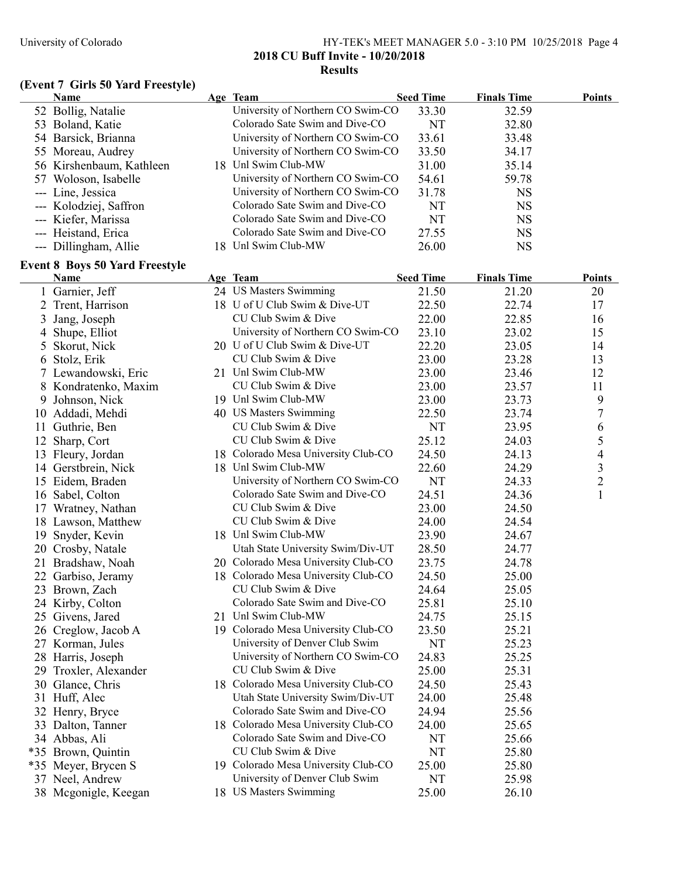## University of Colorado HY-TEK's MEET MANAGER 5.0 - 3:10 PM 10/25/2018 Page 4 2018 CU Buff Invite - 10/20/2018 Results

# (Event 7 Girls 50 Yard Freestyle)

|    | Name                                                 | Age Team                            | <b>Seed Time</b> | <b>Finals Time</b> | <b>Points</b>  |
|----|------------------------------------------------------|-------------------------------------|------------------|--------------------|----------------|
|    | 52 Bollig, Natalie                                   | University of Northern CO Swim-CO   | 33.30            | 32.59              |                |
|    | 53 Boland, Katie                                     | Colorado Sate Swim and Dive-CO      | NT               | 32.80              |                |
|    | 54 Barsick, Brianna                                  | University of Northern CO Swim-CO   | 33.61            | 33.48              |                |
|    | 55 Moreau, Audrey                                    | University of Northern CO Swim-CO   | 33.50            | 34.17              |                |
|    | 56 Kirshenbaum, Kathleen                             | 18 Unl Swim Club-MW                 | 31.00            | 35.14              |                |
|    | 57 Woloson, Isabelle                                 | University of Northern CO Swim-CO   | 54.61            | 59.78              |                |
|    | --- Line, Jessica                                    | University of Northern CO Swim-CO   | 31.78            | <b>NS</b>          |                |
|    | --- Kolodziej, Saffron                               | Colorado Sate Swim and Dive-CO      | NT               | <b>NS</b>          |                |
|    | --- Kiefer, Marissa                                  | Colorado Sate Swim and Dive-CO      | <b>NT</b>        | <b>NS</b>          |                |
|    | --- Heistand, Erica                                  | Colorado Sate Swim and Dive-CO      | 27.55            | <b>NS</b>          |                |
|    | --- Dillingham, Allie                                | 18 Unl Swim Club-MW                 | 26.00            | <b>NS</b>          |                |
|    |                                                      |                                     |                  |                    |                |
|    | <b>Event 8 Boys 50 Yard Freestyle</b><br><b>Name</b> | Age Team                            | <b>Seed Time</b> | <b>Finals Time</b> | <b>Points</b>  |
|    | 1 Garnier, Jeff                                      | 24 US Masters Swimming              | 21.50            | 21.20              | 20             |
|    | 2 Trent, Harrison                                    | 18 U of U Club Swim & Dive-UT       | 22.50            | 22.74              | 17             |
| 3  | Jang, Joseph                                         | CU Club Swim & Dive                 | 22.00            | 22.85              | 16             |
|    | Shupe, Elliot                                        | University of Northern CO Swim-CO   | 23.10            | 23.02              | 15             |
| 4  | Skorut, Nick                                         | 20 U of U Club Swim & Dive-UT       | 22.20            | 23.05              | 14             |
| 5  | 6 Stolz, Erik                                        | CU Club Swim & Dive                 | 23.00            | 23.28              |                |
|    |                                                      | 21 Unl Swim Club-MW                 | 23.00            | 23.46              | 13<br>12       |
|    | 7 Lewandowski, Eric                                  | CU Club Swim & Dive                 |                  |                    |                |
|    | 8 Kondratenko, Maxim                                 |                                     | 23.00            | 23.57              | 11             |
| 9  | Johnson, Nick                                        | 19 Unl Swim Club-MW                 | 23.00            | 23.73              | 9              |
|    | 10 Addadi, Mehdi                                     | 40 US Masters Swimming              | 22.50            | 23.74              | 7              |
|    | 11 Guthrie, Ben                                      | CU Club Swim & Dive                 | NT               | 23.95              | 6              |
| 12 | Sharp, Cort                                          | CU Club Swim & Dive                 | 25.12            | 24.03              | 5              |
|    | 13 Fleury, Jordan                                    | 18 Colorado Mesa University Club-CO | 24.50            | 24.13              | 4              |
|    | 14 Gerstbrein, Nick                                  | 18 Unl Swim Club-MW                 | 22.60            | 24.29              | 3              |
|    | 15 Eidem, Braden                                     | University of Northern CO Swim-CO   | NT               | 24.33              | $\overline{c}$ |
|    | 16 Sabel, Colton                                     | Colorado Sate Swim and Dive-CO      | 24.51            | 24.36              | $\mathbf{1}$   |
|    | 17 Wratney, Nathan                                   | CU Club Swim & Dive                 | 23.00            | 24.50              |                |
|    | 18 Lawson, Matthew                                   | CU Club Swim & Dive                 | 24.00            | 24.54              |                |
|    | 19 Snyder, Kevin                                     | 18 Unl Swim Club-MW                 | 23.90            | 24.67              |                |
|    | 20 Crosby, Natale                                    | Utah State University Swim/Div-UT   | 28.50            | 24.77              |                |
|    | 21 Bradshaw, Noah                                    | 20 Colorado Mesa University Club-CO | 23.75            | 24.78              |                |
|    | 22 Garbiso, Jeramy                                   | 18 Colorado Mesa University Club-CO | 24.50            | 25.00              |                |
|    | 23 Brown, Zach                                       | CU Club Swim & Dive                 | 24.64            | 25.05              |                |
|    | 24 Kirby, Colton                                     | Colorado Sate Swim and Dive-CO      | 25.81            | 25.10              |                |
|    | 25 Givens, Jared                                     | 21 Unl Swim Club-MW                 | 24.75            | 25.15              |                |
|    | 26 Creglow, Jacob A                                  | 19 Colorado Mesa University Club-CO | 23.50            | 25.21              |                |
|    | 27 Korman, Jules                                     | University of Denver Club Swim      | NT               | 25.23              |                |
|    | 28 Harris, Joseph                                    | University of Northern CO Swim-CO   | 24.83            | 25.25              |                |
|    | 29 Troxler, Alexander                                | CU Club Swim & Dive                 | 25.00            | 25.31              |                |
|    | 30 Glance, Chris                                     | 18 Colorado Mesa University Club-CO | 24.50            | 25.43              |                |
|    | 31 Huff, Alec                                        | Utah State University Swim/Div-UT   | 24.00            | 25.48              |                |
|    | 32 Henry, Bryce                                      | Colorado Sate Swim and Dive-CO      | 24.94            | 25.56              |                |
|    | 33 Dalton, Tanner                                    | 18 Colorado Mesa University Club-CO | 24.00            | 25.65              |                |
|    | 34 Abbas, Ali                                        | Colorado Sate Swim and Dive-CO      | NT               | 25.66              |                |
|    | *35 Brown, Quintin                                   | CU Club Swim & Dive                 | NT               | 25.80              |                |
|    | *35 Meyer, Brycen S                                  | 19 Colorado Mesa University Club-CO | 25.00            | 25.80              |                |
|    | 37 Neel, Andrew                                      | University of Denver Club Swim      | NT               | 25.98              |                |
|    | 38 Mcgonigle, Keegan                                 | 18 US Masters Swimming              | 25.00            | 26.10              |                |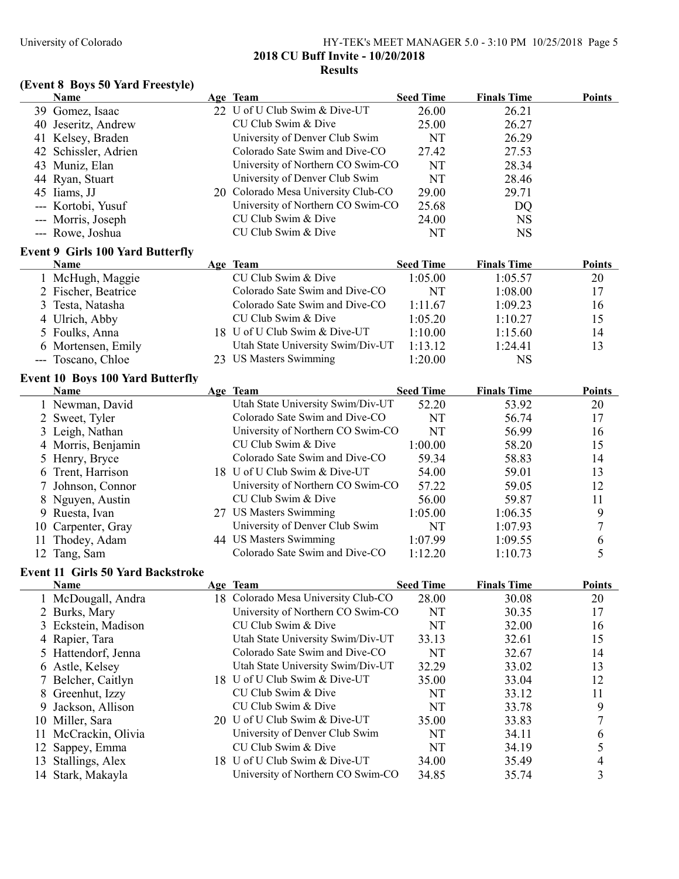#### University of Colorado HY-TEK's MEET MANAGER 5.0 - 3:10 PM 10/25/2018 Page 5 2018 CU Buff Invite - 10/20/2018 Results

# (Event 8 Boys 50 Yard Freestyle)

|    | <b>Name</b>                                             | Age Team                            | <b>Seed Time</b> | <b>Finals Time</b> | <b>Points</b>            |
|----|---------------------------------------------------------|-------------------------------------|------------------|--------------------|--------------------------|
|    | 39 Gomez, Isaac                                         | 22 U of U Club Swim & Dive-UT       | 26.00            | 26.21              |                          |
|    | 40 Jeseritz, Andrew                                     | CU Club Swim & Dive                 | 25.00            | 26.27              |                          |
|    | 41 Kelsey, Braden                                       | University of Denver Club Swim      | NT               | 26.29              |                          |
|    | 42 Schissler, Adrien                                    | Colorado Sate Swim and Dive-CO      | 27.42            | 27.53              |                          |
|    | 43 Muniz, Elan                                          | University of Northern CO Swim-CO   | NT               | 28.34              |                          |
|    | 44 Ryan, Stuart                                         | University of Denver Club Swim      | <b>NT</b>        | 28.46              |                          |
|    | 45 Iiams, JJ                                            | 20 Colorado Mesa University Club-CO | 29.00            | 29.71              |                          |
|    | --- Kortobi, Yusuf                                      | University of Northern CO Swim-CO   | 25.68            | DQ                 |                          |
|    | --- Morris, Joseph                                      | CU Club Swim & Dive                 | 24.00            | <b>NS</b>          |                          |
|    | --- Rowe, Joshua                                        | CU Club Swim & Dive                 | NT               | <b>NS</b>          |                          |
|    | <b>Event 9 Girls 100 Yard Butterfly</b>                 |                                     |                  |                    |                          |
|    | <b>Name</b>                                             | Age Team                            | <b>Seed Time</b> | <b>Finals Time</b> | <b>Points</b>            |
|    | 1 McHugh, Maggie                                        | CU Club Swim & Dive                 | 1:05.00          | 1:05.57            | 20                       |
|    | 2 Fischer, Beatrice                                     | Colorado Sate Swim and Dive-CO      | NT               | 1:08.00            | 17                       |
|    | 3 Testa, Natasha                                        | Colorado Sate Swim and Dive-CO      | 1:11.67          | 1:09.23            | 16                       |
|    | 4 Ulrich, Abby                                          | CU Club Swim & Dive                 | 1:05.20          | 1:10.27            | 15                       |
|    | 5 Foulks, Anna                                          | 18 U of U Club Swim & Dive-UT       | 1:10.00          | 1:15.60            | 14                       |
|    | 6 Mortensen, Emily                                      | Utah State University Swim/Div-UT   | 1:13.12          | 1:24.41            | 13                       |
|    | --- Toscano, Chloe                                      | 23 US Masters Swimming              | 1:20.00          | <b>NS</b>          |                          |
|    | <b>Event 10 Boys 100 Yard Butterfly</b>                 |                                     |                  |                    |                          |
|    | <b>Name</b>                                             | Age Team                            | <b>Seed Time</b> | <b>Finals Time</b> | <b>Points</b>            |
|    | 1 Newman, David                                         | Utah State University Swim/Div-UT   | 52.20            | 53.92              | 20                       |
|    | 2 Sweet, Tyler                                          | Colorado Sate Swim and Dive-CO      | NT               | 56.74              | 17                       |
|    | 3 Leigh, Nathan                                         | University of Northern CO Swim-CO   | <b>NT</b>        | 56.99              | 16                       |
|    | 4 Morris, Benjamin                                      | CU Club Swim & Dive                 | 1:00.00          | 58.20              | 15                       |
|    | 5 Henry, Bryce                                          | Colorado Sate Swim and Dive-CO      | 59.34            | 58.83              | 14                       |
|    | 6 Trent, Harrison                                       | 18 U of U Club Swim & Dive-UT       | 54.00            | 59.01              | 13                       |
|    | 7 Johnson, Connor                                       | University of Northern CO Swim-CO   | 57.22            | 59.05              | 12                       |
|    | 8 Nguyen, Austin                                        | CU Club Swim & Dive                 | 56.00            | 59.87              | 11                       |
|    | 9 Ruesta, Ivan                                          | 27 US Masters Swimming              | 1:05.00          | 1:06.35            | 9                        |
| 10 | Carpenter, Gray                                         | University of Denver Club Swim      | NT               | 1:07.93            | $\overline{7}$           |
| 11 | Thodey, Adam                                            | 44 US Masters Swimming              | 1:07.99          | 1:09.55            | 6                        |
|    | 12 Tang, Sam                                            | Colorado Sate Swim and Dive-CO      | 1:12.20          | 1:10.73            | 5                        |
|    |                                                         |                                     |                  |                    |                          |
|    | <b>Event 11 Girls 50 Yard Backstroke</b><br><b>Name</b> | Age Team                            | <b>Seed Time</b> | <b>Finals Time</b> | <b>Points</b>            |
|    | 1 McDougall, Andra                                      | 18 Colorado Mesa University Club-CO | 28.00            | 30.08              | 20                       |
|    | 2 Burks, Mary                                           | University of Northern CO Swim-CO   | NT               | 30.35              | 17                       |
|    | 3 Eckstein, Madison                                     | CU Club Swim & Dive                 | <b>NT</b>        | 32.00              | 16                       |
|    | 4 Rapier, Tara                                          | Utah State University Swim/Div-UT   | 33.13            | 32.61              | 15                       |
|    | 5 Hattendorf, Jenna                                     | Colorado Sate Swim and Dive-CO      | <b>NT</b>        | 32.67              | 14                       |
|    | 6 Astle, Kelsey                                         | Utah State University Swim/Div-UT   | 32.29            | 33.02              | 13                       |
|    | Belcher, Caitlyn                                        | 18 U of U Club Swim & Dive-UT       | 35.00            | 33.04              | 12                       |
| 8  | Greenhut, Izzy                                          | CU Club Swim & Dive                 | NT               | 33.12              | 11                       |
| 9  | Jackson, Allison                                        | CU Club Swim & Dive                 | NT               | 33.78              | 9                        |
| 10 | Miller, Sara                                            | 20 U of U Club Swim & Dive-UT       | 35.00            | 33.83              | $\overline{7}$           |
| 11 | McCrackin, Olivia                                       | University of Denver Club Swim      | NT               | 34.11              | 6                        |
| 12 | Sappey, Emma                                            | CU Club Swim & Dive                 | NT               | 34.19              | 5                        |
| 13 | Stallings, Alex                                         | 18 U of U Club Swim & Dive-UT       | 34.00            | 35.49              | $\overline{\mathcal{A}}$ |
| 14 | Stark, Makayla                                          | University of Northern CO Swim-CO   | 34.85            | 35.74              | 3                        |
|    |                                                         |                                     |                  |                    |                          |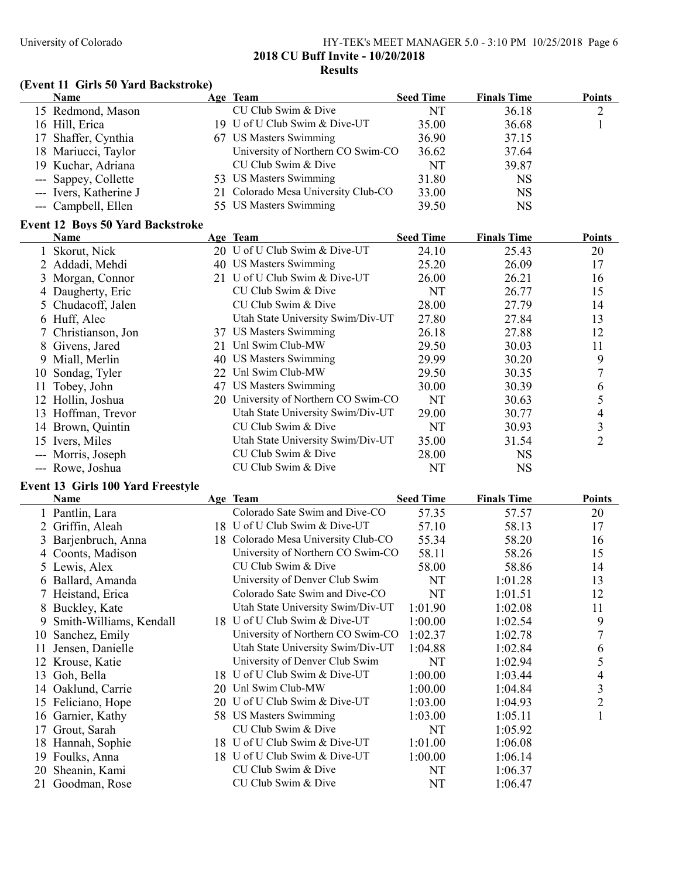#### University of Colorado HY-TEK's MEET MANAGER 5.0 - 3:10 PM 10/25/2018 Page 6 2018 CU Buff Invite - 10/20/2018 Results

# (Event 11 Girls 50 Yard Backstroke)

| <b>Name</b>            | Age Team                            | <b>Seed Time</b> | <b>Finals Time</b> | <b>Points</b> |
|------------------------|-------------------------------------|------------------|--------------------|---------------|
| 15 Redmond, Mason      | CU Club Swim & Dive                 | NT               | 36.18              | $\gamma$      |
| 16 Hill, Erica         | 19 U of U Club Swim & Dive-UT       | 35.00            | 36.68              |               |
| 17 Shaffer, Cynthia    | 67 US Masters Swimming              | 36.90            | 37.15              |               |
| 18 Mariucci, Taylor    | University of Northern CO Swim-CO   | 36.62            | 37.64              |               |
| 19 Kuchar, Adriana     | CU Club Swim & Dive                 | NT               | 39.87              |               |
| --- Sappey, Collette   | 53 US Masters Swimming              | 31.80            | <b>NS</b>          |               |
| --- Ivers, Katherine J | 21 Colorado Mesa University Club-CO | 33.00            | NS                 |               |
| --- Campbell, Ellen    | 55 US Masters Swimming              | 39.50            | NS                 |               |

# Event 12 Boys 50 Yard Backstroke

|     | Name                | Age Team                             | <b>Seed Time</b> | <b>Finals Time</b> | <b>Points</b>  |
|-----|---------------------|--------------------------------------|------------------|--------------------|----------------|
|     | 1 Skorut, Nick      | 20 U of U Club Swim & Dive-UT        | 24.10            | 25.43              | 20             |
|     | 2 Addadi, Mehdi     | 40 US Masters Swimming               | 25.20            | 26.09              | 17             |
|     | 3 Morgan, Connor    | 21 U of U Club Swim & Dive-UT        | 26.00            | 26.21              | 16             |
|     | 4 Daugherty, Eric   | CU Club Swim & Dive                  | NT               | 26.77              | 15             |
|     | 5 Chudacoff, Jalen  | CU Club Swim & Dive                  | 28.00            | 27.79              | 14             |
|     | 6 Huff, Alec        | Utah State University Swim/Div-UT    | 27.80            | 27.84              | 13             |
|     | 7 Christianson, Jon | 37 US Masters Swimming               | 26.18            | 27.88              | 12             |
|     | 8 Givens, Jared     | 21 Unl Swim Club-MW                  | 29.50            | 30.03              | 11             |
|     | 9 Miall, Merlin     | 40 US Masters Swimming               | 29.99            | 30.20              | 9              |
|     | 10 Sondag, Tyler    | 22 Unl Swim Club-MW                  | 29.50            | 30.35              |                |
| 11. | Tobey, John         | 47 US Masters Swimming               | 30.00            | 30.39              | 6              |
|     | 12 Hollin, Joshua   | 20 University of Northern CO Swim-CO | NT               | 30.63              |                |
| 13. | Hoffman, Trevor     | Utah State University Swim/Div-UT    | 29.00            | 30.77              | 4              |
| 14  | Brown, Quintin      | CU Club Swim & Dive                  | NT               | 30.93              | 3              |
| 15  | Ivers, Miles        | Utah State University Swim/Div-UT    | 35.00            | 31.54              | $\overline{2}$ |
|     | --- Morris, Joseph  | CU Club Swim & Dive                  | 28.00            | <b>NS</b>          |                |
|     | --- Rowe, Joshua    | CU Club Swim & Dive                  | NT               | <b>NS</b>          |                |

#### Event 13 Girls 100 Yard Freestyle

|    | Name                    |     | Age Team                          | <b>Seed Time</b> | <b>Finals Time</b> | <b>Points</b>  |
|----|-------------------------|-----|-----------------------------------|------------------|--------------------|----------------|
|    | 1 Pantlin, Lara         |     | Colorado Sate Swim and Dive-CO    | 57.35            | 57.57              | 20             |
|    | Griffin, Aleah          |     | 18 U of U Club Swim & Dive-UT     | 57.10            | 58.13              | 17             |
|    | 3 Barjenbruch, Anna     | 18. | Colorado Mesa University Club-CO  | 55.34            | 58.20              | 16             |
|    | 4 Coonts, Madison       |     | University of Northern CO Swim-CO | 58.11            | 58.26              | 15             |
|    | 5 Lewis, Alex           |     | CU Club Swim & Dive               | 58.00            | 58.86              | 14             |
|    | 6 Ballard, Amanda       |     | University of Denver Club Swim    | NT               | 1:01.28            | 13             |
|    | 7 Heistand, Erica       |     | Colorado Sate Swim and Dive-CO    | NT               | 1:01.51            | 12             |
|    | 8 Buckley, Kate         |     | Utah State University Swim/Div-UT | 1:01.90          | 1:02.08            | 11             |
| 9  | Smith-Williams, Kendall | 18. | U of U Club Swim & Dive-UT        | 1:00.00          | 1:02.54            | 9              |
| 10 | Sanchez, Emily          |     | University of Northern CO Swim-CO | 1:02.37          | 1:02.78            |                |
| 11 | Jensen, Danielle        |     | Utah State University Swim/Div-UT | 1:04.88          | 1:02.84            | 6              |
|    | 12 Krouse, Katie        |     | University of Denver Club Swim    | NT               | 1:02.94            | 5              |
| 13 | Goh, Bella              |     | 18 U of U Club Swim & Dive-UT     | 1:00.00          | 1:03.44            | 4              |
| 14 | Oaklund, Carrie         |     | 20 Unl Swim Club-MW               | 1:00.00          | 1:04.84            | 3              |
|    | 15 Feliciano, Hope      |     | 20 U of U Club Swim & Dive-UT     | 1:03.00          | 1:04.93            | $\overline{2}$ |
| 16 | Garnier, Kathy          |     | 58 US Masters Swimming            | 1:03.00          | 1:05.11            |                |
| 17 | Grout, Sarah            |     | CU Club Swim & Dive               | NT               | 1:05.92            |                |
|    | 18 Hannah, Sophie       |     | 18 U of U Club Swim & Dive-UT     | 1:01.00          | 1:06.08            |                |
| 19 | Foulks, Anna            | 18  | U of U Club Swim & Dive-UT        | 1:00.00          | 1:06.14            |                |
| 20 | Sheanin, Kami           |     | CU Club Swim & Dive               | NT               | 1:06.37            |                |
| 21 | Goodman, Rose           |     | CU Club Swim & Dive               | NT               | 1:06.47            |                |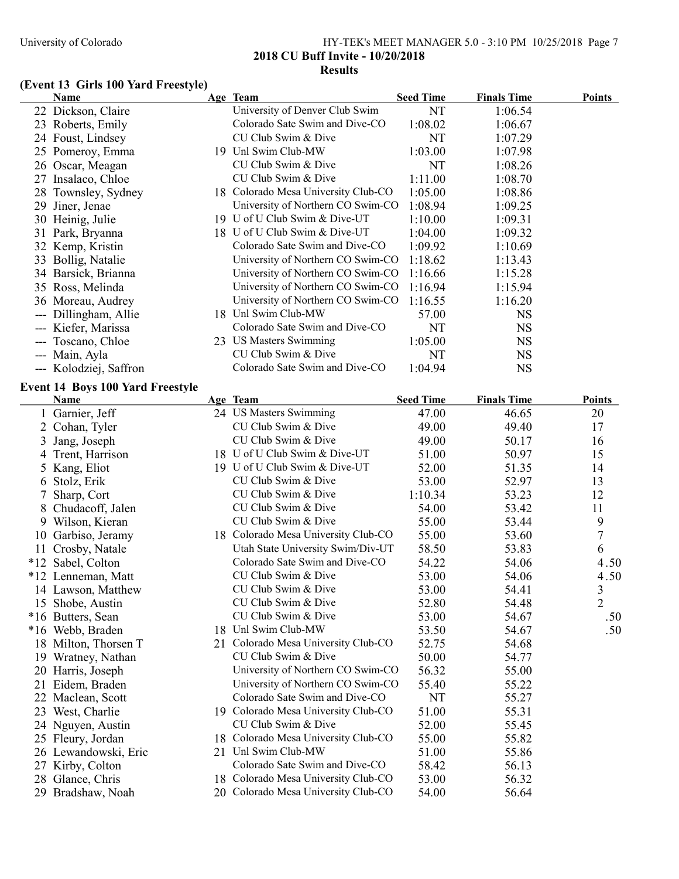## University of Colorado HY-TEK's MEET MANAGER 5.0 - 3:10 PM 10/25/2018 Page 7 2018 CU Buff Invite - 10/20/2018 Results

# (Event 13 Girls 100 Yard Freestyle)

|    | <b>Name</b>                             | Age Team                            | <b>Seed Time</b> | <b>Finals Time</b> | <b>Points</b>  |
|----|-----------------------------------------|-------------------------------------|------------------|--------------------|----------------|
|    | 22 Dickson, Claire                      | University of Denver Club Swim      | NT               | 1:06.54            |                |
|    | 23 Roberts, Emily                       | Colorado Sate Swim and Dive-CO      | 1:08.02          | 1:06.67            |                |
|    | 24 Foust, Lindsey                       | CU Club Swim & Dive                 | NT               | 1:07.29            |                |
|    | 25 Pomeroy, Emma                        | 19 Unl Swim Club-MW                 | 1:03.00          | 1:07.98            |                |
|    | 26 Oscar, Meagan                        | CU Club Swim & Dive                 | NT               | 1:08.26            |                |
|    | 27 Insalaco, Chloe                      | CU Club Swim & Dive                 | 1:11.00          | 1:08.70            |                |
| 28 | Townsley, Sydney                        | 18 Colorado Mesa University Club-CO | 1:05.00          | 1:08.86            |                |
|    | 29 Jiner, Jenae                         | University of Northern CO Swim-CO   | 1:08.94          | 1:09.25            |                |
|    | 30 Heinig, Julie                        | 19 U of U Club Swim & Dive-UT       | 1:10.00          | 1:09.31            |                |
|    | 31 Park, Bryanna                        | 18 U of U Club Swim & Dive-UT       | 1:04.00          | 1:09.32            |                |
|    | 32 Kemp, Kristin                        | Colorado Sate Swim and Dive-CO      | 1:09.92          | 1:10.69            |                |
|    | 33 Bollig, Natalie                      | University of Northern CO Swim-CO   | 1:18.62          | 1:13.43            |                |
|    | 34 Barsick, Brianna                     | University of Northern CO Swim-CO   | 1:16.66          | 1:15.28            |                |
|    | 35 Ross, Melinda                        | University of Northern CO Swim-CO   | 1:16.94          | 1:15.94            |                |
|    | 36 Moreau, Audrey                       | University of Northern CO Swim-CO   | 1:16.55          | 1:16.20            |                |
|    | --- Dillingham, Allie                   | 18 Unl Swim Club-MW                 | 57.00            | <b>NS</b>          |                |
|    | --- Kiefer, Marissa                     | Colorado Sate Swim and Dive-CO      | NT               | <b>NS</b>          |                |
|    | --- Toscano, Chloe                      | 23 US Masters Swimming              | 1:05.00          | <b>NS</b>          |                |
|    | --- Main, Ayla                          | CU Club Swim & Dive                 | NT               | <b>NS</b>          |                |
|    | --- Kolodziej, Saffron                  | Colorado Sate Swim and Dive-CO      | 1:04.94          | <b>NS</b>          |                |
|    | <b>Event 14 Boys 100 Yard Freestyle</b> |                                     |                  |                    |                |
|    | Name                                    | Age Team                            | <b>Seed Time</b> | <b>Finals Time</b> | <b>Points</b>  |
|    | 1 Garnier, Jeff                         | 24 US Masters Swimming              | 47.00            | 46.65              | 20             |
|    | 2 Cohan, Tyler                          | CU Club Swim & Dive                 | 49.00            | 49.40              | 17             |
| 3  | Jang, Joseph                            | CU Club Swim & Dive                 | 49.00            | 50.17              | 16             |
|    | 4 Trent, Harrison                       | 18 U of U Club Swim & Dive-UT       | 51.00            | 50.97              | 15             |
|    | 5 Kang, Eliot                           | 19 U of U Club Swim & Dive-UT       | 52.00            | 51.35              | 14             |
| 6  | Stolz, Erik                             | CU Club Swim & Dive                 | 53.00            | 52.97              | 13             |
|    | Sharp, Cort                             | CU Club Swim & Dive                 | 1:10.34          | 53.23              | 12             |
|    | 8 Chudacoff, Jalen                      | CU Club Swim & Dive                 | 54.00            | 53.42              | 11             |
|    | 9 Wilson, Kieran                        | CU Club Swim & Dive                 | 55.00            | 53.44              | 9              |
|    | 10 Garbiso, Jeramy                      | 18 Colorado Mesa University Club-CO | 55.00            | 53.60              | 7              |
|    | 11 Crosby, Natale                       | Utah State University Swim/Div-UT   | 58.50            | 53.83              | 6              |
|    | *12 Sabel, Colton                       | Colorado Sate Swim and Dive-CO      | 54.22            | 54.06              | 4.50           |
|    | *12 Lenneman, Matt                      | CU Club Swim & Dive                 | 53.00            | 54.06              | 4.50           |
|    | 14 Lawson, Matthew                      | CU Club Swim & Dive                 | 53.00            | 54.41              | $\mathfrak{Z}$ |
|    | 15 Shobe, Austin                        | CU Club Swim & Dive                 | 52.80            | 54.48              | $\overline{2}$ |
|    | *16 Butters, Sean                       | CU Club Swim & Dive                 | 53.00            | 54.67              | .50            |
|    | *16 Webb, Braden                        | 18 Unl Swim Club-MW                 | 53.50            | 54.67              | .50            |
|    | 18 Milton, Thorsen T                    | 21 Colorado Mesa University Club-CO | 52.75            | 54.68              |                |
|    | 19 Wratney, Nathan                      | CU Club Swim & Dive                 | 50.00            | 54.77              |                |
|    | 20 Harris, Joseph                       | University of Northern CO Swim-CO   | 56.32            | 55.00              |                |
|    | 21 Eidem, Braden                        | University of Northern CO Swim-CO   | 55.40            | 55.22              |                |
|    | 22 Maclean, Scott                       | Colorado Sate Swim and Dive-CO      | NT               | 55.27              |                |
|    | 23 West, Charlie                        | 19 Colorado Mesa University Club-CO | 51.00            | 55.31              |                |
|    | 24 Nguyen, Austin                       | CU Club Swim & Dive                 | 52.00            | 55.45              |                |
|    | 25 Fleury, Jordan                       | 18 Colorado Mesa University Club-CO | 55.00            | 55.82              |                |
|    | 26 Lewandowski, Eric                    | 21 Unl Swim Club-MW                 | 51.00            | 55.86              |                |
|    | 27 Kirby, Colton                        | Colorado Sate Swim and Dive-CO      | 58.42            | 56.13              |                |
|    | 28 Glance, Chris                        | 18 Colorado Mesa University Club-CO | 53.00            | 56.32              |                |
|    | 29 Bradshaw, Noah                       | 20 Colorado Mesa University Club-CO | 54.00            | 56.64              |                |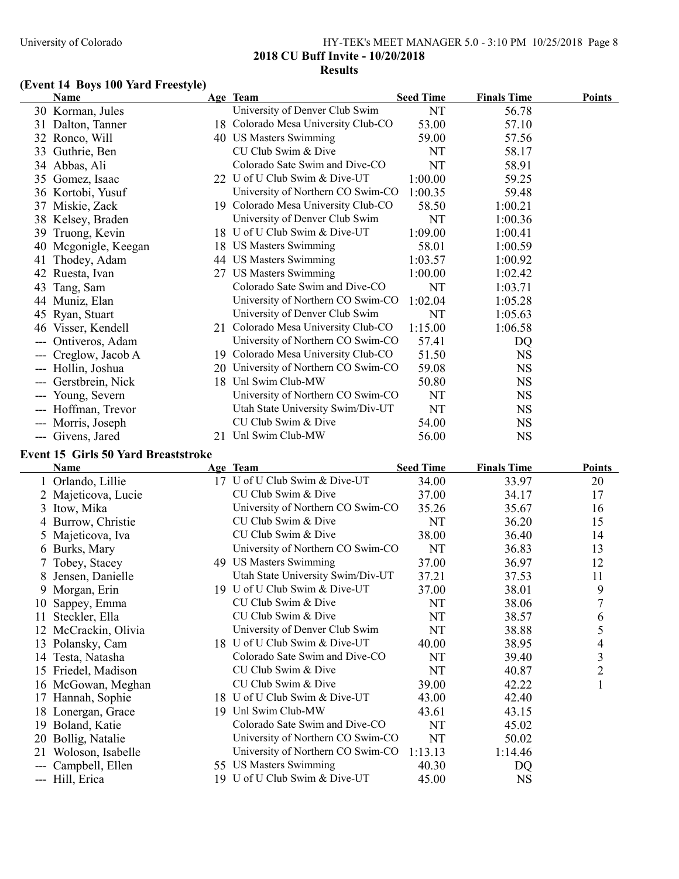#### University of Colorado HY-TEK's MEET MANAGER 5.0 - 3:10 PM 10/25/2018 Page 8 2018 CU Buff Invite - 10/20/2018 Results

#### (Event 14 Boys 100 Yard Freestyle)

|     | <b>Name</b>             |    | Age Team                            | <b>Seed Time</b> | <b>Finals Time</b> | <b>Points</b> |
|-----|-------------------------|----|-------------------------------------|------------------|--------------------|---------------|
|     | 30 Korman, Jules        |    | University of Denver Club Swim      | NT               | 56.78              |               |
|     | 31 Dalton, Tanner       |    | 18 Colorado Mesa University Club-CO | 53.00            | 57.10              |               |
|     | 32 Ronco, Will          |    | 40 US Masters Swimming              | 59.00            | 57.56              |               |
|     | 33 Guthrie, Ben         |    | CU Club Swim & Dive                 | NT               | 58.17              |               |
|     | Abbas, Ali<br>34        |    | Colorado Sate Swim and Dive-CO      | NT               | 58.91              |               |
|     | Gomez, Isaac<br>35      |    | 22 U of U Club Swim & Dive-UT       | 1:00.00          | 59.25              |               |
|     | 36 Kortobi, Yusuf       |    | University of Northern CO Swim-CO   | 1:00.35          | 59.48              |               |
|     | 37 Miskie, Zack         |    | 19 Colorado Mesa University Club-CO | 58.50            | 1:00.21            |               |
|     | 38 Kelsey, Braden       |    | University of Denver Club Swim      | NT               | 1:00.36            |               |
| 39  | Truong, Kevin           | 18 | U of U Club Swim & Dive-UT          | 1:09.00          | 1:00.41            |               |
|     | Mcgonigle, Keegan<br>40 | 18 | <b>US Masters Swimming</b>          | 58.01            | 1:00.59            |               |
| 41  | Thodey, Adam            | 44 | US Masters Swimming                 | 1:03.57          | 1:00.92            |               |
|     | 42<br>Ruesta, Ivan      | 27 | <b>US Masters Swimming</b>          | 1:00.00          | 1:02.42            |               |
| 43  | Tang, Sam               |    | Colorado Sate Swim and Dive-CO      | NT               | 1:03.71            |               |
|     | Muniz, Elan<br>44       |    | University of Northern CO Swim-CO   | 1:02.04          | 1:05.28            |               |
|     | 45 Ryan, Stuart         |    | University of Denver Club Swim      | NT               | 1:05.63            |               |
|     | 46 Visser, Kendell      |    | 21 Colorado Mesa University Club-CO | 1:15.00          | 1:06.58            |               |
|     | Ontiveros, Adam         |    | University of Northern CO Swim-CO   | 57.41            | DQ                 |               |
|     | Creglow, Jacob A        |    | 19 Colorado Mesa University Club-CO | 51.50            | <b>NS</b>          |               |
|     | --- Hollin, Joshua      | 20 | University of Northern CO Swim-CO   | 59.08            | <b>NS</b>          |               |
|     | --- Gerstbrein, Nick    | 18 | Unl Swim Club-MW                    | 50.80            | <b>NS</b>          |               |
|     | --- Young, Severn       |    | University of Northern CO Swim-CO   | NT               | <b>NS</b>          |               |
|     | --- Hoffman, Trevor     |    | Utah State University Swim/Div-UT   | NT               | <b>NS</b>          |               |
| --- | Morris, Joseph          |    | CU Club Swim & Dive                 | 54.00            | <b>NS</b>          |               |
|     | --- Givens, Jared       | 21 | Unl Swim Club-MW                    | 56.00            | <b>NS</b>          |               |
|     |                         |    |                                     |                  |                    |               |

# Event 15 Girls 50 Yard Breaststroke

|               | Name              | Age Team                          | <b>Seed Time</b> | <b>Finals Time</b> | <b>Points</b>  |
|---------------|-------------------|-----------------------------------|------------------|--------------------|----------------|
|               | Orlando, Lillie   | 17 U of U Club Swim & Dive-UT     | 34.00            | 33.97              | 20             |
|               | Majeticova, Lucie | CU Club Swim & Dive               | 37.00            | 34.17              | 17             |
| 3             | Itow, Mika        | University of Northern CO Swim-CO | 35.26            | 35.67              | 16             |
|               | Burrow, Christie  | CU Club Swim & Dive               | NT               | 36.20              | 15             |
| $\mathcal{D}$ | Majeticova, Iva   | CU Club Swim & Dive               | 38.00            | 36.40              | 14             |
| $\mathfrak b$ | Burks, Mary       | University of Northern CO Swim-CO | NT               | 36.83              | 13             |
|               | 7 Tobey, Stacey   | 49 US Masters Swimming            | 37.00            | 36.97              | 12             |
| 8             | Jensen, Danielle  | Utah State University Swim/Div-UT | 37.21            | 37.53              | 11             |
| 9             | Morgan, Erin      | 19 U of U Club Swim & Dive-UT     | 37.00            | 38.01              | 9              |
| 10            | Sappey, Emma      | CU Club Swim & Dive               | NT               | 38.06              | 7              |
| 11            | Steckler, Ella    | CU Club Swim & Dive               | NT               | 38.57              | 6              |
| 12            | McCrackin, Olivia | University of Denver Club Swim    | NT               | 38.88              | 5              |
| 13            | Polansky, Cam     | 18 U of U Club Swim & Dive-UT     | 40.00            | 38.95              | 4              |
|               | 14 Testa, Natasha | Colorado Sate Swim and Dive-CO    | NT               | 39.40              | 3              |
| 15            | Friedel, Madison  | CU Club Swim & Dive               | NT               | 40.87              | $\overline{c}$ |
| 16            | McGowan, Meghan   | CU Club Swim & Dive               | 39.00            | 42.22              | $\mathbf{1}$   |
| 17            | Hannah, Sophie    | 18 U of U Club Swim & Dive-UT     | 43.00            | 42.40              |                |
| 18            | Lonergan, Grace   | 19 Unl Swim Club-MW               | 43.61            | 43.15              |                |
| 19            | Boland, Katie     | Colorado Sate Swim and Dive-CO    | NT               | 45.02              |                |
| 20            | Bollig, Natalie   | University of Northern CO Swim-CO | <b>NT</b>        | 50.02              |                |
| 21            | Woloson, Isabelle | University of Northern CO Swim-CO | 1:13.13          | 1:14.46            |                |
| ---           | Campbell, Ellen   | 55 US Masters Swimming            | 40.30            | DQ                 |                |
|               | --- Hill, Erica   | 19 U of U Club Swim & Dive-UT     | 45.00            | NS                 |                |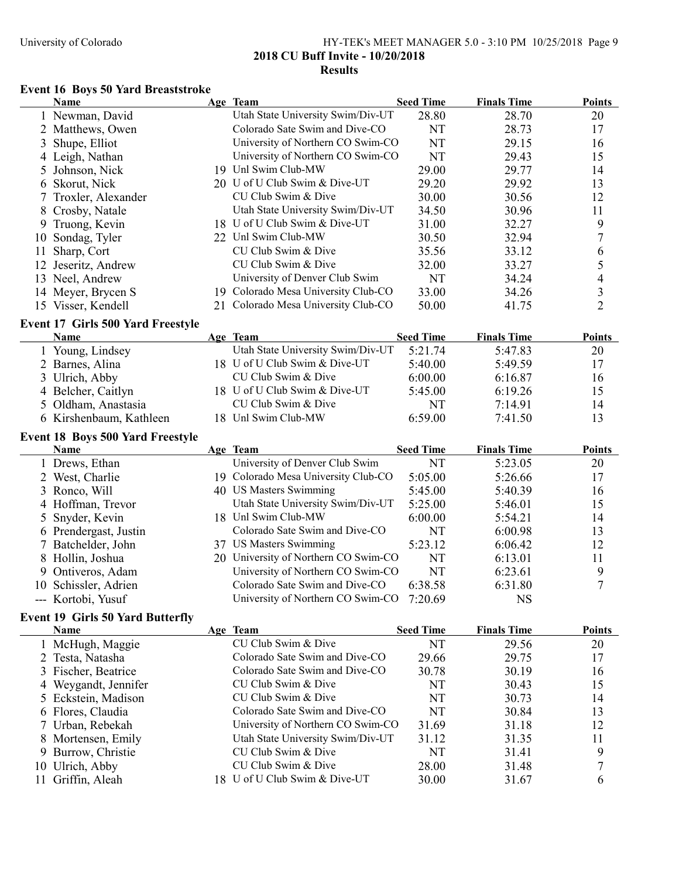## University of Colorado HY-TEK's MEET MANAGER 5.0 - 3:10 PM 10/25/2018 Page 9 2018 CU Buff Invite - 10/20/2018 Results

# Event 16 Boys 50 Yard Breaststroke

|             | Name                                     | Age Team                                             | <b>Seed Time</b> | <b>Finals Time</b> | <b>Points</b>  |
|-------------|------------------------------------------|------------------------------------------------------|------------------|--------------------|----------------|
|             | 1 Newman, David                          | Utah State University Swim/Div-UT                    | 28.80            | 28.70              | 20             |
|             | 2 Matthews, Owen                         | Colorado Sate Swim and Dive-CO                       | NT               | 28.73              | 17             |
| 3           | Shupe, Elliot                            | University of Northern CO Swim-CO                    | <b>NT</b>        | 29.15              | 16             |
|             | Leigh, Nathan                            | University of Northern CO Swim-CO                    | <b>NT</b>        | 29.43              | 15             |
| 5           | Johnson, Nick                            | 19 Unl Swim Club-MW                                  | 29.00            | 29.77              | 14             |
| 6           | Skorut, Nick                             | 20 U of U Club Swim & Dive-UT                        | 29.20            | 29.92              | 13             |
|             | Troxler, Alexander                       | CU Club Swim & Dive                                  | 30.00            | 30.56              | 12             |
| 8           | Crosby, Natale                           | Utah State University Swim/Div-UT                    | 34.50            | 30.96              | 11             |
| 9           | Truong, Kevin                            | 18 U of U Club Swim & Dive-UT                        | 31.00            | 32.27              | 9              |
| 10          | Sondag, Tyler                            | 22 Unl Swim Club-MW                                  | 30.50            | 32.94              | 7              |
| 11          | Sharp, Cort                              | CU Club Swim & Dive                                  | 35.56            | 33.12              | 6              |
|             | 12 Jeseritz, Andrew                      | CU Club Swim & Dive                                  | 32.00            | 33.27              | 5              |
|             | 13 Neel, Andrew                          | University of Denver Club Swim                       | <b>NT</b>        | 34.24              | 4              |
|             | 14 Meyer, Brycen S                       | 19 Colorado Mesa University Club-CO                  | 33.00            | 34.26              | 3              |
|             | 15 Visser, Kendell                       | 21 Colorado Mesa University Club-CO                  | 50.00            | 41.75              | $\overline{2}$ |
|             | <b>Event 17 Girls 500 Yard Freestyle</b> |                                                      |                  |                    |                |
|             | Name                                     | Age Team                                             | <b>Seed Time</b> | <b>Finals Time</b> | <b>Points</b>  |
|             | 1 Young, Lindsey                         | Utah State University Swim/Div-UT                    | 5:21.74          | 5:47.83            | 20             |
|             | 2 Barnes, Alina                          | 18 U of U Club Swim & Dive-UT                        | 5:40.00          | 5:49.59            | 17             |
|             | 3 Ulrich, Abby                           | CU Club Swim & Dive                                  | 6:00.00          | 6:16.87            | 16             |
|             | 4 Belcher, Caitlyn                       | 18 U of U Club Swim & Dive-UT                        | 5:45.00          | 6:19.26            | 15             |
|             | 5 Oldham, Anastasia                      | CU Club Swim & Dive                                  | NT               | 7:14.91            | 14             |
|             | 6 Kirshenbaum, Kathleen                  | 18 Unl Swim Club-MW                                  | 6:59.00          | 7:41.50            | 13             |
|             |                                          |                                                      |                  |                    |                |
|             | <b>Event 18 Boys 500 Yard Freestyle</b>  |                                                      |                  |                    |                |
|             |                                          |                                                      |                  |                    |                |
|             | Name                                     | Age Team                                             | <b>Seed Time</b> | <b>Finals Time</b> | <b>Points</b>  |
|             | 1 Drews, Ethan                           | University of Denver Club Swim                       | NT               | 5:23.05            | 20             |
|             | 2 West, Charlie                          | 19 Colorado Mesa University Club-CO                  | 5:05.00          | 5:26.66            | 17             |
|             | 3 Ronco, Will                            | 40 US Masters Swimming                               | 5:45.00          | 5:40.39            | 16             |
|             | 4 Hoffman, Trevor                        | Utah State University Swim/Div-UT                    | 5:25.00          | 5:46.01            | 15             |
| $5^{\circ}$ | Snyder, Kevin                            | 18 Unl Swim Club-MW                                  | 6:00.00          | 5:54.21            | 14             |
|             | 6 Prendergast, Justin                    | Colorado Sate Swim and Dive-CO                       | NT               | 6:00.98            | 13             |
|             | 7 Batchelder, John                       | 37 US Masters Swimming                               | 5:23.12          | 6:06.42            | 12             |
|             | 8 Hollin, Joshua                         | 20 University of Northern CO Swim-CO                 | NT               | 6:13.01            | 11             |
|             | 9 Ontiveros, Adam                        | University of Northern CO Swim-CO                    | NT               | 6:23.61            | 9              |
|             | 10 Schissler, Adrien                     | Colorado Sate Swim and Dive-CO                       | 6:38.58          | 6:31.80            | $\overline{7}$ |
|             | --- Kortobi, Yusuf                       | University of Northern CO Swim-CO 7:20.69            |                  | <b>NS</b>          |                |
|             | <b>Event 19 Girls 50 Yard Butterfly</b>  |                                                      |                  |                    |                |
|             | Name                                     | Age Team                                             | <b>Seed Time</b> | <b>Finals Time</b> | <b>Points</b>  |
|             | 1 McHugh, Maggie                         | CU Club Swim & Dive                                  | NT               | 29.56              | 20             |
|             | 2 Testa, Natasha                         | Colorado Sate Swim and Dive-CO                       | 29.66            | 29.75              | 17             |
|             | 3 Fischer, Beatrice                      | Colorado Sate Swim and Dive-CO                       | 30.78            | 30.19              | 16             |
|             | 4 Weygandt, Jennifer                     | CU Club Swim & Dive                                  | NT               | 30.43              | 15             |
|             | 5 Eckstein, Madison                      | CU Club Swim & Dive                                  | NT               | 30.73              | 14             |
|             | 6 Flores, Claudia                        | Colorado Sate Swim and Dive-CO                       | <b>NT</b>        | 30.84              | 13             |
|             | 7 Urban, Rebekah                         | University of Northern CO Swim-CO                    | 31.69            | 31.18              | 12             |
|             | 8 Mortensen, Emily                       | Utah State University Swim/Div-UT                    | 31.12            | 31.35              | 11             |
|             | 9 Burrow, Christie                       | CU Club Swim & Dive                                  | <b>NT</b>        | 31.41              | 9              |
|             | 10 Ulrich, Abby                          | CU Club Swim & Dive<br>18 U of U Club Swim & Dive-UT | 28.00            | 31.48              | 7<br>6         |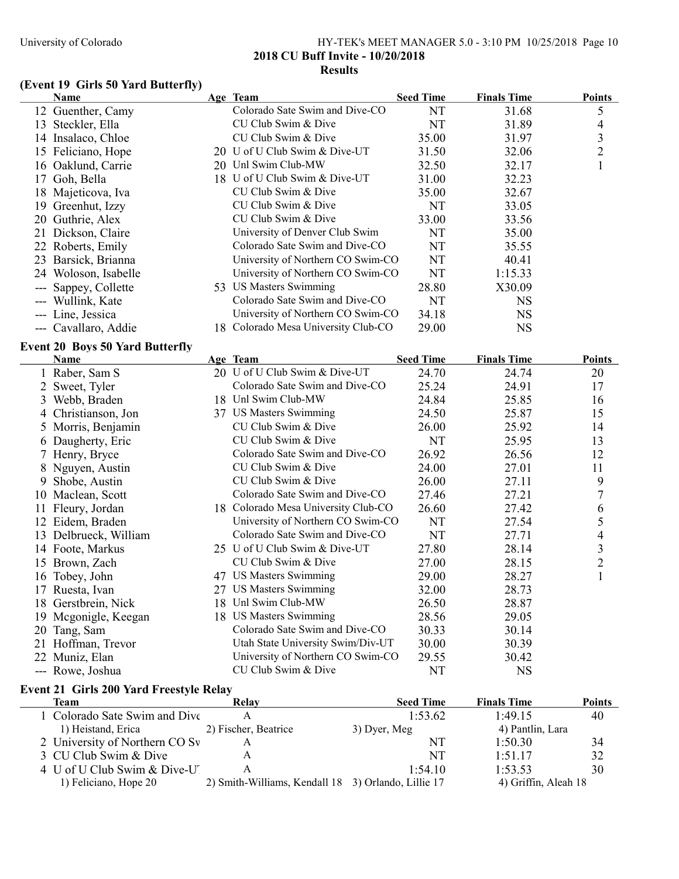## University of Colorado HY-TEK's MEET MANAGER 5.0 - 3:10 PM 10/25/2018 Page 10 2018 CU Buff Invite - 10/20/2018 Results

# (Event 19 Girls 50 Yard Butterfly)

| Name                                                          | Age Team                            | <b>Seed Time</b> | <b>Finals Time</b> | <b>Points</b>  |
|---------------------------------------------------------------|-------------------------------------|------------------|--------------------|----------------|
| 12 Guenther, Camy                                             | Colorado Sate Swim and Dive-CO      | NT               | 31.68              | 5              |
| 13 Steckler, Ella                                             | CU Club Swim & Dive                 | NT               | 31.89              | 4              |
| 14 Insalaco, Chloe                                            | CU Club Swim & Dive                 | 35.00            | 31.97              | $\mathfrak{Z}$ |
| 15 Feliciano, Hope                                            | 20 U of U Club Swim & Dive-UT       | 31.50            | 32.06              | $\overline{2}$ |
| 16 Oaklund, Carrie                                            | 20 Unl Swim Club-MW                 | 32.50            | 32.17              | $\mathbf{1}$   |
| 17 Goh, Bella                                                 | 18 U of U Club Swim & Dive-UT       | 31.00            | 32.23              |                |
| 18 Majeticova, Iva                                            | CU Club Swim & Dive                 | 35.00            | 32.67              |                |
| 19 Greenhut, Izzy                                             | CU Club Swim & Dive                 | NT               | 33.05              |                |
| 20 Guthrie, Alex                                              | CU Club Swim & Dive                 | 33.00            | 33.56              |                |
| 21 Dickson, Claire                                            | University of Denver Club Swim      | NT               | 35.00              |                |
| 22 Roberts, Emily                                             | Colorado Sate Swim and Dive-CO      | <b>NT</b>        | 35.55              |                |
| 23 Barsick, Brianna                                           | University of Northern CO Swim-CO   | <b>NT</b>        | 40.41              |                |
| 24 Woloson, Isabelle                                          | University of Northern CO Swim-CO   | <b>NT</b>        | 1:15.33            |                |
| --- Sappey, Collette                                          | 53 US Masters Swimming              | 28.80            | X30.09             |                |
| --- Wullink, Kate                                             | Colorado Sate Swim and Dive-CO      | NT               | <b>NS</b>          |                |
| --- Line, Jessica                                             | University of Northern CO Swim-CO   | 34.18            | <b>NS</b>          |                |
| --- Cavallaro, Addie                                          | 18 Colorado Mesa University Club-CO | 29.00            | <b>NS</b>          |                |
| <b>Event 20 Boys 50 Yard Butterfly</b>                        |                                     |                  |                    |                |
| Name                                                          | Age Team                            | <b>Seed Time</b> | <b>Finals Time</b> | <b>Points</b>  |
| 1 Raber, Sam S                                                | 20 U of U Club Swim & Dive-UT       | 24.70            | 24.74              | 20             |
| 2 Sweet, Tyler                                                | Colorado Sate Swim and Dive-CO      | 25.24            | 24.91              | 17             |
| 3 Webb, Braden                                                | 18 Unl Swim Club-MW                 | 24.84            | 25.85              | 16             |
| 4 Christianson, Jon                                           | 37 US Masters Swimming              | 24.50            | 25.87              | 15             |
| 5 Morris, Benjamin                                            | CU Club Swim & Dive                 | 26.00            | 25.92              | 14             |
| 6 Daugherty, Eric                                             | CU Club Swim & Dive                 | NT               | 25.95              | 13             |
| 7 Henry, Bryce                                                | Colorado Sate Swim and Dive-CO      | 26.92            | 26.56              | 12             |
| 8 Nguyen, Austin                                              | CU Club Swim & Dive                 | 24.00            | 27.01              | 11             |
| 9 Shobe, Austin                                               | CU Club Swim & Dive                 | 26.00            | 27.11              | 9              |
| 10 Maclean, Scott                                             | Colorado Sate Swim and Dive-CO      | 27.46            | 27.21              | $\overline{7}$ |
| 11 Fleury, Jordan                                             | 18 Colorado Mesa University Club-CO | 26.60            | 27.42              | 6              |
| 12 Eidem, Braden                                              | University of Northern CO Swim-CO   | NT               | 27.54              | 5              |
| 13 Delbrueck, William                                         | Colorado Sate Swim and Dive-CO      | NT               | 27.71              | 4              |
| 14 Foote, Markus                                              | 25 U of U Club Swim & Dive-UT       | 27.80            | 28.14              | $\mathfrak{Z}$ |
| 15 Brown, Zach                                                | CU Club Swim & Dive                 | 27.00            | 28.15              | $\overline{2}$ |
| 16 Tobey, John                                                | 47 US Masters Swimming              | 29.00            | 28.27              | $\mathbf{1}$   |
| 17 Ruesta, Ivan                                               | 27 US Masters Swimming              | 32.00            | 28.73              |                |
| 18 Gerstbrein, Nick                                           | 18 Unl Swim Club-MW                 | 26.50            | 28.87              |                |
| 19 Mcgonigle, Keegan                                          | 18 US Masters Swimming              | 28.56            | 29.05              |                |
| 20 Tang, Sam                                                  | Colorado Sate Swim and Dive-CO      | 30.33            | 30.14              |                |
| 21 Hoffman, Trevor                                            | Utah State University Swim/Div-UT   | 30.00            | 30.39              |                |
| 22 Muniz, Elan                                                | University of Northern CO Swim-CO   | 29.55            | 30.42              |                |
| --- Rowe, Joshua                                              | CU Club Swim & Dive                 | NT               | <b>NS</b>          |                |
|                                                               |                                     |                  |                    |                |
| <b>Event 21 Girls 200 Yard Freestyle Relay</b><br><b>Team</b> | Relay                               | <b>Seed Time</b> | <b>Finals Time</b> | <b>Points</b>  |
| Colorado Sate Swim and Dive                                   | A                                   | 1:53.62          | 1:49.15            | 40             |

| тсаш                           | AWA T                                               | эсси тше     | гицаю типе           | 1 онны |
|--------------------------------|-----------------------------------------------------|--------------|----------------------|--------|
| 1 Colorado Sate Swim and Dive  |                                                     | 1:53.62      | 1:49.15              | 40     |
| 1) Heistand, Erica             | 2) Fischer, Beatrice                                | 3) Dyer, Meg | 4) Pantlin, Lara     |        |
| 2 University of Northern CO Sv |                                                     | NT           | 1:50.30              | 34     |
| 3 CU Club Swim & Dive          |                                                     | NT           | 1:51.17              | 32     |
| 4 U of U Club Swim & Dive-U    |                                                     | 1:54.10      | 1:53.53              | 30     |
| 1) Feliciano, Hope 20          | 2) Smith-Williams, Kendall 18 3) Orlando, Lillie 17 |              | 4) Griffin, Aleah 18 |        |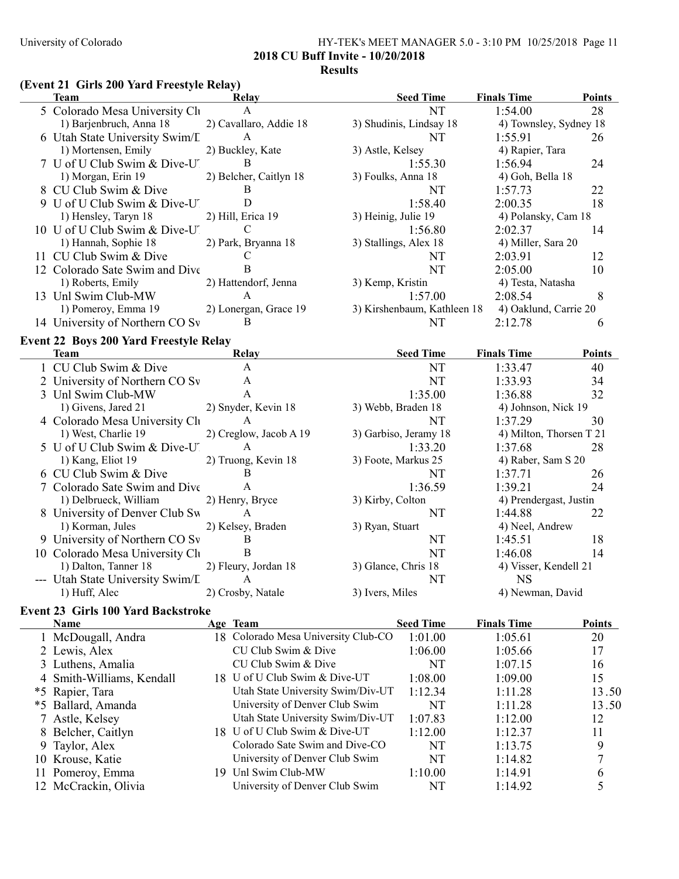#### University of Colorado HY-TEK's MEET MANAGER 5.0 - 3:10 PM 10/25/2018 Page 11 2018 CU Buff Invite - 10/20/2018

## Results

# (Event 21 Girls 200 Yard Freestyle Relay)

| Team                            | Relay                  | <b>Seed Time</b>            | <b>Finals Time</b>    | <b>Points</b>          |
|---------------------------------|------------------------|-----------------------------|-----------------------|------------------------|
| 5 Colorado Mesa University Clu  | $\mathsf{A}$           | NT                          | 1:54.00               | 28                     |
| 1) Barjenbruch, Anna 18         | 2) Cavallaro, Addie 18 | 3) Shudinis, Lindsay 18     |                       | 4) Townsley, Sydney 18 |
| 6 Utah State University Swim/L  | A                      | NT                          | 1:55.91               | 26                     |
| 1) Mortensen, Emily             | 2) Buckley, Kate       | 3) Astle, Kelsey            | 4) Rapier, Tara       |                        |
| 7 U of U Club Swim & Dive-U     | B                      | 1:55.30                     | 1:56.94               | 24                     |
| 1) Morgan, Erin 19              | 2) Belcher, Caitlyn 18 | 3) Foulks, Anna 18          | 4) Goh, Bella 18      |                        |
| 8 CU Club Swim & Dive           | B                      | NT                          | 1:57.73               | 22                     |
| 9 U of U Club Swim & Dive-U.    |                        | 1:58.40                     | 2:00.35               | 18                     |
| 1) Hensley, Taryn 18            | 2) Hill, Erica 19      | 3) Heinig, Julie 19         | 4) Polansky, Cam 18   |                        |
| 10 U of U Club Swim & Dive-U.   | C                      | 1:56.80                     | 2:02.37               | 14                     |
| 1) Hannah, Sophie 18            | 2) Park, Bryanna 18    | 3) Stallings, Alex 18       | 4) Miller, Sara 20    |                        |
| 11 CU Club Swim & Dive          |                        | NT                          | 2:03.91               | 12                     |
| 12 Colorado Sate Swim and Dive  | B                      | NT                          | 2:05.00               | 10                     |
| 1) Roberts, Emily               | 2) Hattendorf, Jenna   | 3) Kemp, Kristin            | 4) Testa, Natasha     |                        |
| 13 Unl Swim Club-MW             | A                      | 1:57.00                     | 2:08.54               | 8                      |
| 1) Pomeroy, Emma 19             | 2) Lonergan, Grace 19  | 3) Kirshenbaum, Kathleen 18 | 4) Oaklund, Carrie 20 |                        |
| 14 University of Northern CO Sv | В                      | NΤ                          | 2:12.78               | h                      |

# Event 22 Boys 200 Yard Freestyle Relay

 $\equiv$ 

| Team                                  | Relay                  | <b>Seed Time</b>      | <b>Finals Time</b>      | <b>Points</b> |
|---------------------------------------|------------------------|-----------------------|-------------------------|---------------|
| 1 CU Club Swim & Dive                 | A                      | NT                    | 1:33.47                 | 40            |
| 2 University of Northern CO Sv        | A                      | NT                    | 1:33.93                 | 34            |
| 3 Unl Swim Club-MW                    | A                      | 1:35.00               | 1:36.88                 | 32            |
| 1) Givens, Jared 21                   | 2) Snyder, Kevin 18    | 3) Webb, Braden 18    | 4) Johnson, Nick 19     |               |
| 4 Colorado Mesa University Ch         | A                      | NT                    | 1:37.29                 | 30            |
| 1) West, Charlie 19                   | 2) Creglow, Jacob A 19 | 3) Garbiso, Jeramy 18 | 4) Milton, Thorsen T 21 |               |
| 5 U of U Club Swim & Dive-U.          | A                      | 1:33.20               | 1:37.68                 | 28            |
| 1) Kang, Eliot 19                     | 2) Truong, Kevin 18    | 3) Foote, Markus 25   | 4) Raber, Sam S 20      |               |
| 6 CU Club Swim & Dive                 | B                      | NT                    | 1:37.71                 | 26            |
| 7 Colorado Sate Swim and Dive         | A                      | 1:36.59               | 1:39.21                 | 24            |
| 1) Delbrueck, William 2) Henry, Bryce |                        | 3) Kirby, Colton      | 4) Prendergast, Justin  |               |
| 8 University of Denver Club Sw        | A                      | NT                    | 1:44.88                 | 22            |
| 1) Korman, Jules                      | 2) Kelsey, Braden      | 3) Ryan, Stuart       | 4) Neel, Andrew         |               |
| 9 University of Northern CO Sv        | -B                     | NT                    | 1:45.51                 | 18            |
| 10 Colorado Mesa University Clu       | B                      | NT                    | 1:46.08                 | 14            |
| 1) Dalton, Tanner 18                  | 2) Fleury, Jordan 18   | 3) Glance, Chris 18   | 4) Visser, Kendell 21   |               |
| --- Utah State University Swim/L      | A                      | NT                    | <b>NS</b>               |               |
| 1) Huff, Alec                         | 2) Crosby, Natale      | 3) Ivers, Miles       | 4) Newman, David        |               |

## Event 23 Girls 100 Yard Backstroke

| <b>Name</b>               | Age Team                            | <b>Seed Time</b> | <b>Finals Time</b> | <b>Points</b> |
|---------------------------|-------------------------------------|------------------|--------------------|---------------|
| 1 McDougall, Andra        | 18 Colorado Mesa University Club-CO | 1:01.00          | 1:05.61            | 20            |
| 2 Lewis, Alex             | CU Club Swim & Dive                 | 1:06.00          | 1:05.66            | 17            |
| 3 Luthens, Amalia         | CU Club Swim & Dive                 | NT               | 1:07.15            | 16            |
| 4 Smith-Williams, Kendall | 18 U of U Club Swim & Dive-UT       | 1:08.00          | 1:09.00            | 15            |
| *5 Rapier, Tara           | Utah State University Swim/Div-UT   | 1:12.34          | 1:11.28            | 13.50         |
| *5 Ballard, Amanda        | University of Denver Club Swim      | NT               | 1:11.28            | 13.50         |
| 7 Astle, Kelsey           | Utah State University Swim/Div-UT   | 1:07.83          | 1:12.00            | 12            |
| 8 Belcher, Caitlyn        | 18 U of U Club Swim & Dive-UT       | 1:12.00          | 1:12.37            | 11            |
| 9 Taylor, Alex            | Colorado Sate Swim and Dive-CO      | NT               | 1:13.75            | 9             |
| 10 Krouse, Katie          | University of Denver Club Swim      | NT               | 1:14.82            |               |
| 11 Pomeroy, Emma          | 19 Unl Swim Club-MW                 | 1:10.00          | 1:14.91            | h             |
| 12 McCrackin, Olivia      | University of Denver Club Swim      | NT               | 1:14.92            |               |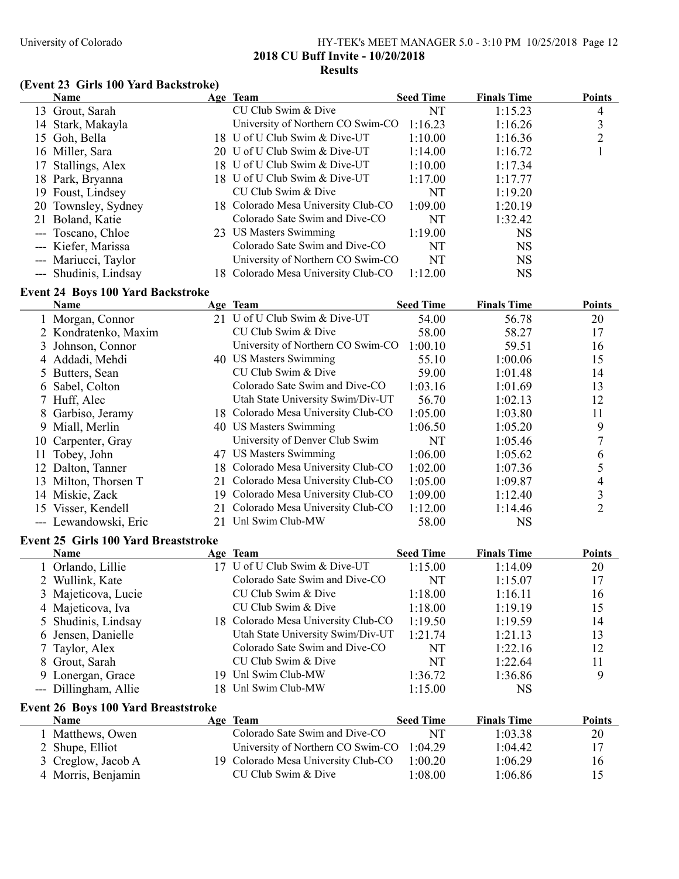## University of Colorado HY-TEK's MEET MANAGER 5.0 - 3:10 PM 10/25/2018 Page 12 2018 CU Buff Invite - 10/20/2018 Results

## (Event 23 Girls 100 Yard Backstroke)

|               | <b>Name</b>                              |    | Age Team                            | <b>Seed Time</b> | <b>Finals Time</b> | <b>Points</b>  |
|---------------|------------------------------------------|----|-------------------------------------|------------------|--------------------|----------------|
|               | 13 Grout, Sarah                          |    | CU Club Swim & Dive                 | NT               | 1:15.23            | 4              |
|               | 14 Stark, Makayla                        |    | University of Northern CO Swim-CO   | 1:16.23          | 1:16.26            | 3              |
|               | 15 Goh, Bella                            |    | 18 U of U Club Swim & Dive-UT       | 1:10.00          | 1:16.36            | $\overline{c}$ |
|               | 16 Miller, Sara                          |    | 20 U of U Club Swim & Dive-UT       | 1:14.00          | 1:16.72            | 1              |
| 17            | Stallings, Alex                          |    | 18 U of U Club Swim & Dive-UT       | 1:10.00          | 1:17.34            |                |
|               | 18 Park, Bryanna                         |    | 18 U of U Club Swim & Dive-UT       | 1:17.00          | 1:17.77            |                |
|               | 19 Foust, Lindsey                        |    | CU Club Swim & Dive                 | NT               | 1:19.20            |                |
|               | 20 Townsley, Sydney                      |    | 18 Colorado Mesa University Club-CO | 1:09.00          | 1:20.19            |                |
|               | 21 Boland, Katie                         |    | Colorado Sate Swim and Dive-CO      | NT               | 1:32.42            |                |
|               | --- Toscano, Chloe                       |    | 23 US Masters Swimming              | 1:19.00          | <b>NS</b>          |                |
|               | --- Kiefer, Marissa                      |    | Colorado Sate Swim and Dive-CO      | NT               | <b>NS</b>          |                |
|               | --- Mariucci, Taylor                     |    | University of Northern CO Swim-CO   | NT               | <b>NS</b>          |                |
|               | --- Shudinis, Lindsay                    |    | 18 Colorado Mesa University Club-CO | 1:12.00          | <b>NS</b>          |                |
|               | <b>Event 24 Boys 100 Yard Backstroke</b> |    |                                     |                  |                    |                |
|               | Name                                     |    | Age Team                            | <b>Seed Time</b> | <b>Finals Time</b> | <b>Points</b>  |
|               | 1 Morgan, Connor                         |    | 21 U of U Club Swim & Dive-UT       | 54.00            | 56.78              | 20             |
|               | 2 Kondratenko, Maxim                     |    | CU Club Swim & Dive                 | 58.00            | 58.27              | 17             |
|               | 3 Johnson, Connor                        |    | University of Northern CO Swim-CO   | 1:00.10          | 59.51              | 16             |
|               | 4 Addadi, Mehdi                          |    | 40 US Masters Swimming              | 55.10            | 1:00.06            | 15             |
|               | 5 Butters, Sean                          |    | CU Club Swim & Dive                 | 59.00            | 1:01.48            | 14             |
|               | 6 Sabel, Colton                          |    | Colorado Sate Swim and Dive-CO      | 1:03.16          | 1:01.69            | 13             |
|               | 7 Huff, Alec                             |    | Utah State University Swim/Div-UT   | 56.70            | 1:02.13            | 12             |
|               | 8 Garbiso, Jeramy                        |    | 18 Colorado Mesa University Club-CO | 1:05.00          | 1:03.80            | 11             |
|               | 9 Miall, Merlin                          |    | 40 US Masters Swimming              | 1:06.50          | 1:05.20            | 9              |
|               | 10 Carpenter, Gray                       |    | University of Denver Club Swim      | NT               | 1:05.46            | 7              |
| 11            | Tobey, John                              |    | 47 US Masters Swimming              | 1:06.00          | 1:05.62            | 6              |
|               | 12 Dalton, Tanner                        |    | 18 Colorado Mesa University Club-CO | 1:02.00          | 1:07.36            | 5              |
|               | 13 Milton, Thorsen T                     | 21 | Colorado Mesa University Club-CO    | 1:05.00          | 1:09.87            | 4              |
|               | 14 Miskie, Zack                          |    | 19 Colorado Mesa University Club-CO | 1:09.00          | 1:12.40            | $\mathfrak{Z}$ |
|               | 15 Visser, Kendell                       | 21 | Colorado Mesa University Club-CO    | 1:12.00          | 1:14.46            | $\overline{2}$ |
|               | --- Lewandowski, Eric                    |    | 21 Unl Swim Club-MW                 | 58.00            | <b>NS</b>          |                |
|               | Event 25 Girls 100 Yard Breaststroke     |    |                                     |                  |                    |                |
|               | <b>Name</b>                              |    | Age Team                            | <b>Seed Time</b> | <b>Finals Time</b> | <b>Points</b>  |
|               | 1 Orlando, Lillie                        |    | 17 U of U Club Swim & Dive-UT       | 1:15.00          | 1:14.09            | 20             |
|               | 2 Wullink, Kate                          |    | Colorado Sate Swim and Dive-CO      | NT               | 1:15.07            | 17             |
|               | 3 Majeticova, Lucie                      |    | CU Club Swim & Dive                 | 1:18.00          | 1:16.11            | 16             |
|               | 4 Majeticova, Iva                        |    | CU Club Swim & Dive                 | 1:18.00          | 1:19.19            | 15             |
| $\mathcal{L}$ | Shudinis, Lindsay                        |    | 18 Colorado Mesa University Club-CO | 1:19.50          | 1:19.59            | 14             |
| 6             | Jensen, Danielle                         |    | Utah State University Swim/Div-UT   | 1:21.74          | 1:21.13            | 13             |
| 7             | Taylor, Alex                             |    | Colorado Sate Swim and Dive-CO      | NT               | 1:22.16            | 12             |
| 8             | Grout, Sarah                             |    | CU Club Swim & Dive                 | NT               | 1:22.64            | 11             |
| 9             | Lonergan, Grace                          |    | 19 Unl Swim Club-MW                 | 1:36.72          | 1:36.86            | 9              |
|               | --- Dillingham, Allie                    |    | 18 Unl Swim Club-MW                 | 1:15.00          | <b>NS</b>          |                |
|               | Event 26 Boys 100 Yard Breaststroke      |    |                                     |                  |                    |                |
|               | <b>Name</b>                              |    | Age Team                            | <b>Seed Time</b> | <b>Finals Time</b> | <b>Points</b>  |
|               | 1 Matthews, Owen                         |    | Colorado Sate Swim and Dive-CO      | NT               | 1:03.38            | 20             |
|               | 2 Shupe, Elliot                          |    | University of Northern CO Swim-CO   | 1:04.29          | 1:04.42            | 17             |
|               | 3 Creglow, Jacob A                       |    | 19 Colorado Mesa University Club-CO | 1:00.20          | 1:06.29            | 16             |
|               | 4 Morris, Benjamin                       |    | CU Club Swim & Dive                 | 1:08.00          | 1:06.86            | 15             |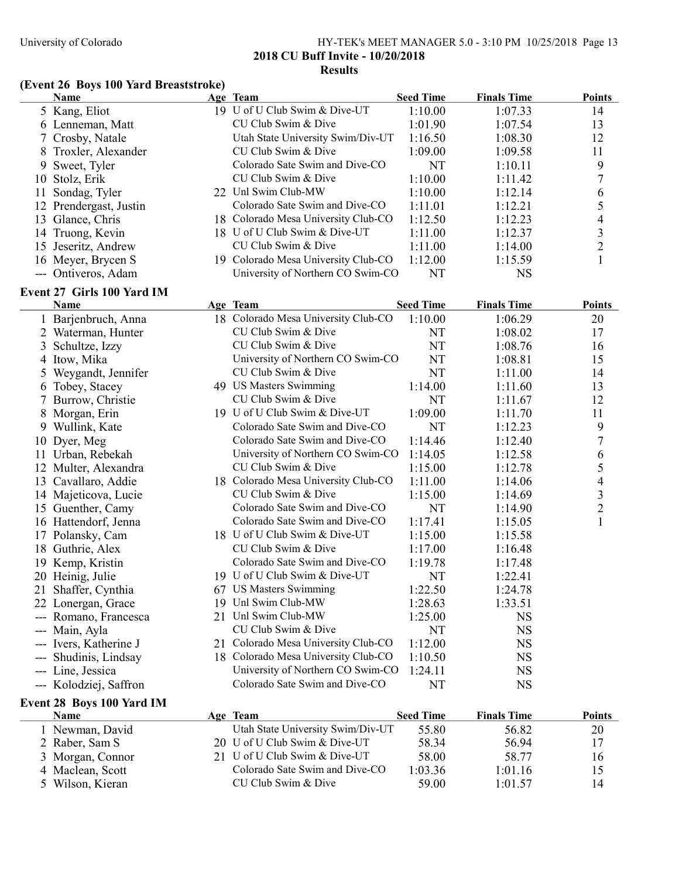5 Wilson, Kieran

#### University of Colorado HY-TEK's MEET MANAGER 5.0 - 3:10 PM 10/25/2018 Page 13 2018 CU Buff Invite - 10/20/2018 Results

1:01.16<br>
15 CU Club Swim & Dive 1:03.36 1:01.16 15<br>
14 14 15

#### (Event 26 Boys 100 Yard Breaststroke)

|     | Name                                            | Age Team                            | <b>Seed Time</b> | <b>Finals Time</b> | <b>Points</b>  |
|-----|-------------------------------------------------|-------------------------------------|------------------|--------------------|----------------|
|     | 5 Kang, Eliot                                   | 19 U of U Club Swim & Dive-UT       | 1:10.00          | 1:07.33            | 14             |
|     | 6 Lenneman, Matt                                | CU Club Swim & Dive                 | 1:01.90          | 1:07.54            | 13             |
|     | 7 Crosby, Natale                                | Utah State University Swim/Div-UT   | 1:16.50          | 1:08.30            | 12             |
|     | 8 Troxler, Alexander                            | CU Club Swim & Dive                 | 1:09.00          | 1:09.58            | 11             |
| 9   | Sweet, Tyler                                    | Colorado Sate Swim and Dive-CO      | NT               | 1:10.11            | 9              |
| 10  | Stolz, Erik                                     | CU Club Swim & Dive                 | 1:10.00          | 1:11.42            | 7              |
| 11  | Sondag, Tyler                                   | 22 Unl Swim Club-MW                 | 1:10.00          | 1:12.14            | 6              |
|     | 12 Prendergast, Justin                          | Colorado Sate Swim and Dive-CO      | 1:11.01          | 1:12.21            | 5              |
|     | 13 Glance, Chris                                | 18 Colorado Mesa University Club-CO | 1:12.50          | 1:12.23            | 4              |
|     | 14 Truong, Kevin                                | 18 U of U Club Swim & Dive-UT       | 1:11.00          | 1:12.37            | $\mathfrak{Z}$ |
|     | 15 Jeseritz, Andrew                             | CU Club Swim & Dive                 | 1:11.00          | 1:14.00            | $\overline{2}$ |
|     | 16 Meyer, Brycen S                              | 19 Colorado Mesa University Club-CO | 1:12.00          | 1:15.59            | 1              |
|     | --- Ontiveros, Adam                             | University of Northern CO Swim-CO   | NT               | <b>NS</b>          |                |
|     | Event 27 Girls 100 Yard IM                      |                                     |                  |                    |                |
|     | Name                                            | Age Team                            | <b>Seed Time</b> | <b>Finals Time</b> | <b>Points</b>  |
|     | 1 Barjenbruch, Anna                             | 18 Colorado Mesa University Club-CO | 1:10.00          | 1:06.29            | 20             |
|     | 2 Waterman, Hunter                              | CU Club Swim & Dive                 | NT               | 1:08.02            | 17             |
| 3   | Schultze, Izzy                                  | CU Club Swim & Dive                 | NT               | 1:08.76            | 16             |
|     | 4 Itow, Mika                                    | University of Northern CO Swim-CO   | NT               | 1:08.81            | 15             |
| 5   | Weygandt, Jennifer                              | CU Club Swim & Dive                 | <b>NT</b>        | 1:11.00            | 14             |
|     | 6 Tobey, Stacey                                 | 49 US Masters Swimming              | 1:14.00          | 1:11.60            | 13             |
| 7   | Burrow, Christie                                | CU Club Swim & Dive                 | NT               | 1:11.67            | 12             |
| 8   | Morgan, Erin                                    | 19 U of U Club Swim & Dive-UT       | 1:09.00          | 1:11.70            | 11             |
|     | 9 Wullink, Kate                                 | Colorado Sate Swim and Dive-CO      | NT               | 1:12.23            | 9              |
|     | 10 Dyer, Meg                                    | Colorado Sate Swim and Dive-CO      | 1:14.46          | 1:12.40            | 7              |
|     | 11 Urban, Rebekah                               | University of Northern CO Swim-CO   | 1:14.05          | 1:12.58            | 6              |
|     | 12 Multer, Alexandra                            | CU Club Swim & Dive                 | 1:15.00          | 1:12.78            | 5              |
|     | 13 Cavallaro, Addie                             | 18 Colorado Mesa University Club-CO | 1:11.00          | 1:14.06            | 4              |
|     | 14 Majeticova, Lucie                            | CU Club Swim & Dive                 | 1:15.00          | 1:14.69            | 3              |
|     | 15 Guenther, Camy                               | Colorado Sate Swim and Dive-CO      | NT               | 1:14.90            | $\overline{2}$ |
|     | 16 Hattendorf, Jenna                            | Colorado Sate Swim and Dive-CO      | 1:17.41          | 1:15.05            | $\mathbf{1}$   |
|     | 17 Polansky, Cam                                | 18 U of U Club Swim & Dive-UT       | 1:15.00          | 1:15.58            |                |
|     | 18 Guthrie, Alex                                | CU Club Swim & Dive                 | 1:17.00          | 1:16.48            |                |
|     | 19 Kemp, Kristin                                | Colorado Sate Swim and Dive-CO      | 1:19.78          | 1:17.48            |                |
|     | 20 Heinig, Julie                                | 19 U of U Club Swim & Dive-UT       | <b>NT</b>        | 1:22.41            |                |
|     | 21 Shaffer, Cynthia                             | 67 US Masters Swimming              | 1:22.50          | 1:24.78            |                |
|     | 22 Lonergan, Grace                              | 19 Unl Swim Club-MW                 | 1:28.63          | 1:33.51            |                |
|     | --- Romano, Francesca                           | 21 Unl Swim Club-MW                 | 1:25.00          | <b>NS</b>          |                |
|     | Main, Ayla                                      | CU Club Swim & Dive                 | NT               | <b>NS</b>          |                |
|     | Ivers, Katherine J                              | 21 Colorado Mesa University Club-CO | 1:12.00          | <b>NS</b>          |                |
|     | Shudinis, Lindsay                               | 18 Colorado Mesa University Club-CO | 1:10.50          | <b>NS</b>          |                |
| --- | Line, Jessica                                   | University of Northern CO Swim-CO   | 1:24.11          | <b>NS</b>          |                |
|     | --- Kolodziej, Saffron                          | Colorado Sate Swim and Dive-CO      | NT               | <b>NS</b>          |                |
|     |                                                 |                                     |                  |                    |                |
|     | <b>Event 28 Boys 100 Yard IM</b><br><b>Name</b> | Age Team                            | <b>Seed Time</b> | <b>Finals Time</b> | <b>Points</b>  |
|     | 1 Newman, David                                 | Utah State University Swim/Div-UT   | 55.80            | 56.82              | 20             |
|     | 2 Raber, Sam S                                  | 20 U of U Club Swim & Dive-UT       | 58.34            | 56.94              | 17             |
|     | 3 Morgan, Connor                                | 21 U of U Club Swim & Dive-UT       | 58.00            | 58.77              | 16             |
|     | 4 Maclean, Scott                                | Colorado Sate Swim and Dive-CO      | 1:03.36          | 1:01.16            | 15             |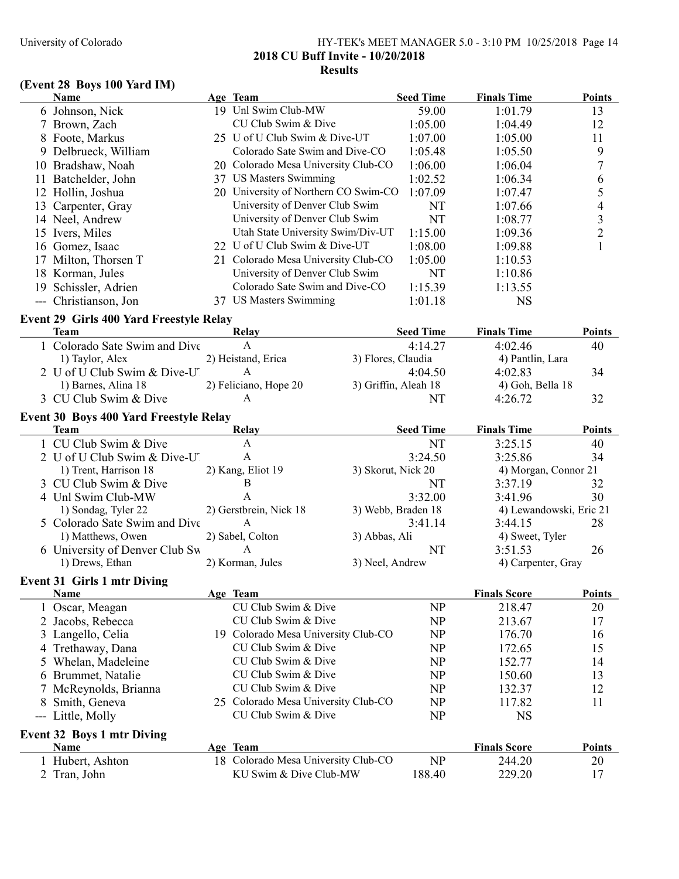## University of Colorado HY-TEK's MEET MANAGER 5.0 - 3:10 PM 10/25/2018 Page 14 2018 CU Buff Invite - 10/20/2018 Results

# (Event 28 Boys 100 Yard IM)

|    | Name                                           | Age Team                             |                    | <b>Seed Time</b>            | <b>Finals Time</b>            | <b>Points</b>            |
|----|------------------------------------------------|--------------------------------------|--------------------|-----------------------------|-------------------------------|--------------------------|
|    | 6 Johnson, Nick                                | 19 Unl Swim Club-MW                  |                    | 59.00                       | 1:01.79                       | 13                       |
|    | 7 Brown, Zach                                  | CU Club Swim & Dive                  |                    | 1:05.00                     | 1:04.49                       | 12                       |
|    | 8 Foote, Markus                                | 25 U of U Club Swim & Dive-UT        |                    | 1:07.00                     | 1:05.00                       | 11                       |
|    | 9 Delbrueck, William                           | Colorado Sate Swim and Dive-CO       |                    | 1:05.48                     | 1:05.50                       | 9                        |
|    | 10 Bradshaw, Noah                              | 20 Colorado Mesa University Club-CO  |                    | 1:06.00                     | 1:06.04                       | 7                        |
| 11 | Batchelder, John                               | 37 US Masters Swimming               |                    | 1:02.52                     | 1:06.34                       | 6                        |
|    | 12 Hollin, Joshua                              | 20 University of Northern CO Swim-CO |                    | 1:07.09                     | 1:07.47                       | 5                        |
|    | 13 Carpenter, Gray                             | University of Denver Club Swim       |                    | NT                          | 1:07.66                       | $\overline{\mathcal{L}}$ |
|    | 14 Neel, Andrew                                | University of Denver Club Swim       |                    | NT                          | 1:08.77                       | 3                        |
|    | 15 Ivers, Miles                                | Utah State University Swim/Div-UT    |                    | 1:15.00                     | 1:09.36                       | $\overline{c}$           |
|    | 16 Gomez, Isaac                                | 22 U of U Club Swim & Dive-UT        |                    | 1:08.00                     | 1:09.88                       | $\mathbf{1}$             |
|    | 17 Milton, Thorsen T                           | 21 Colorado Mesa University Club-CO  |                    | 1:05.00                     | 1:10.53                       |                          |
|    | 18 Korman, Jules                               | University of Denver Club Swim       |                    | NT                          | 1:10.86                       |                          |
|    | 19 Schissler, Adrien                           | Colorado Sate Swim and Dive-CO       |                    | 1:15.39                     | 1:13.55                       |                          |
|    | --- Christianson, Jon                          | 37 US Masters Swimming               |                    | 1:01.18                     | <b>NS</b>                     |                          |
|    |                                                |                                      |                    |                             |                               |                          |
|    | <b>Event 29 Girls 400 Yard Freestyle Relay</b> |                                      |                    |                             |                               |                          |
|    | <b>Team</b><br>1 Colorado Sate Swim and Dive   | <b>Relay</b><br>A                    |                    | <b>Seed Time</b><br>4:14.27 | <b>Finals Time</b><br>4:02.46 | <b>Points</b><br>40      |
|    | 1) Taylor, Alex                                | 2) Heistand, Erica                   | 3) Flores, Claudia |                             | 4) Pantlin, Lara              |                          |
|    | 2 U of U Club Swim & Dive-U                    | A                                    |                    | 4:04.50                     | 4:02.83                       | 34                       |
|    | 1) Barnes, Alina 18                            | 2) Feliciano, Hope 20                |                    | 3) Griffin, Aleah 18        | 4) Goh, Bella 18              |                          |
|    | 3 CU Club Swim & Dive                          | A                                    |                    | NT                          | 4:26.72                       | 32                       |
|    |                                                |                                      |                    |                             |                               |                          |
|    | Event 30 Boys 400 Yard Freestyle Relay         |                                      |                    |                             |                               |                          |
|    | Team                                           | <b>Relay</b>                         |                    | <b>Seed Time</b>            | <b>Finals Time</b>            | <b>Points</b>            |
|    | 1 CU Club Swim & Dive                          | A                                    |                    | NT                          | 3:25.15                       | 40                       |
|    | 2 U of U Club Swim & Dive-U'                   | $\mathbf{A}$                         |                    | 3:24.50                     | 3:25.86                       | 34                       |
|    | 1) Trent, Harrison 18                          | 2) Kang, Eliot 19                    | 3) Skorut, Nick 20 |                             | 4) Morgan, Connor 21          |                          |
|    | 3 CU Club Swim & Dive                          | B                                    |                    | NT                          | 3:37.19                       | 32                       |
|    | 4 Unl Swim Club-MW                             | A                                    |                    | 3:32.00                     | 3:41.96                       | 30                       |
|    | 1) Sondag, Tyler 22                            | 2) Gerstbrein, Nick 18               |                    | 3) Webb, Braden 18          | 4) Lewandowski, Eric 21       |                          |
|    | 5 Colorado Sate Swim and Dive                  | A                                    |                    | 3:41.14                     | 3:44.15                       | 28                       |
|    | 1) Matthews, Owen                              | 2) Sabel, Colton                     | 3) Abbas, Ali      |                             | 4) Sweet, Tyler               |                          |
|    | 6 University of Denver Club Sw                 | $\mathbf{A}$                         |                    | <b>NT</b>                   | 3:51.53                       | 26                       |
|    | 1) Drews, Ethan                                | 2) Korman, Jules                     | 3) Neel, Andrew    |                             | 4) Carpenter, Gray            |                          |
|    | <b>Event 31 Girls 1 mtr Diving</b>             |                                      |                    |                             |                               |                          |
|    | <b>Name</b>                                    | Age Team                             |                    |                             | <b>Finals Score</b>           | <b>Points</b>            |
|    | 1 Oscar, Meagan                                | CU Club Swim & Dive                  |                    | NP                          | 218.47                        | 20                       |
|    | 2 Jacobs, Rebecca                              | CU Club Swim & Dive                  |                    | <b>NP</b>                   | 213.67                        | 17                       |
|    | 3 Langello, Celia                              | 19 Colorado Mesa University Club-CO  |                    | <b>NP</b>                   | 176.70                        | 16                       |
|    | 4 Trethaway, Dana                              | CU Club Swim & Dive                  |                    | NP                          | 172.65                        | 15                       |
|    | 5 Whelan, Madeleine                            | CU Club Swim & Dive                  |                    | NP                          | 152.77                        | 14                       |
|    | 6 Brummet, Natalie                             | CU Club Swim & Dive                  |                    | NP                          | 150.60                        | 13                       |
|    | McReynolds, Brianna                            | CU Club Swim & Dive                  |                    | <b>NP</b>                   | 132.37                        | 12                       |
| 8  | Smith, Geneva                                  | 25 Colorado Mesa University Club-CO  |                    | <b>NP</b>                   | 117.82                        | 11                       |
|    | --- Little, Molly                              | CU Club Swim & Dive                  |                    | <b>NP</b>                   | <b>NS</b>                     |                          |
|    | Event 32 Boys 1 mtr Diving                     |                                      |                    |                             |                               |                          |
|    | Name                                           | Age Team                             |                    |                             | <b>Finals Score</b>           | <b>Points</b>            |
|    | 1 Hubert, Ashton                               | 18 Colorado Mesa University Club-CO  |                    | <b>NP</b>                   | 244.20                        | 20                       |
|    | 2 Tran, John                                   | KU Swim & Dive Club-MW               |                    | 188.40                      | 229.20                        | 17                       |
|    |                                                |                                      |                    |                             |                               |                          |